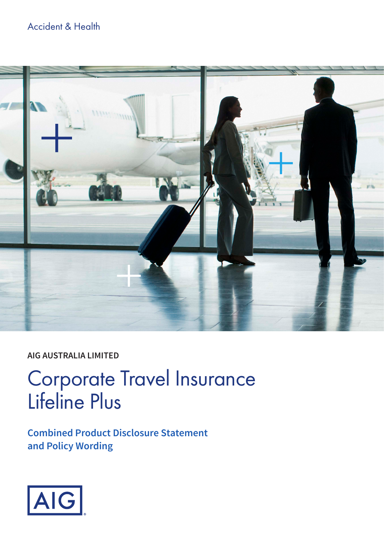## Accident & Health



## **AIG AUSTRALIA LIMITED**

# Corporate Travel Insurance Lifeline Plus

**Combined Product Disclosure Statement and Policy Wording**

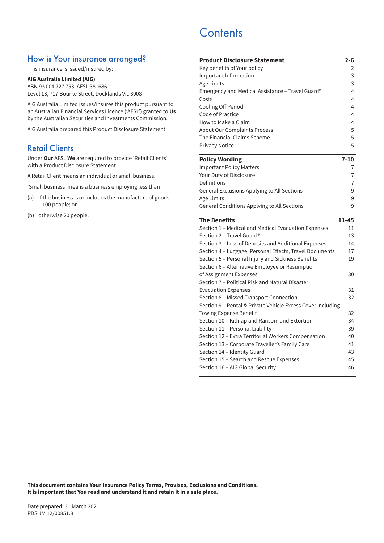### How is Your insurance arranged?

This insurance is issued/insured by:

#### **AIG Australia Limited (AIG)**

ABN 93 004 727 753, AFSL 381686 Level 13, 717 Bourke Street, Docklands Vic 3008

AIG Australia Limited issues/insures this product pursuant to an Australian Financial Services Licence ('AFSL') granted to **Us** by the Australian Securities and Investments Commission.

AIG Australia prepared this Product Disclosure Statement.

### Retail Clients

Under **Our** AFSL **We** are required to provide 'Retail Clients' with a Product Disclosure Statement.

A Retail Client means an individual or small business.

'Small business' means a business employing less than

- (a) if the business is or includes the manufacture of goods – 100 people; or
- (b) otherwise 20 people.

## **Contents**

| <b>Product Disclosure Statement</b>                         | $2 - 6$  |
|-------------------------------------------------------------|----------|
| Key benefits of Your policy                                 | 2        |
| Important Information                                       | 3        |
| Age Limits                                                  | 3        |
| Emergency and Medical Assistance - Travel Guard®            | 4        |
| Costs                                                       | 4        |
| Cooling Off Period                                          | 4        |
| Code of Practice                                            | 4        |
| How to Make a Claim                                         | 4        |
| <b>About Our Complaints Process</b>                         | 5        |
| The Financial Claims Scheme                                 | 5        |
| <b>Privacy Notice</b>                                       | 5        |
| <b>Policy Wording</b>                                       | $7 - 10$ |
| <b>Important Policy Matters</b>                             | 7        |
| Your Duty of Disclosure                                     | 7        |
| Definitions                                                 | 7        |
| General Exclusions Applying to All Sections                 | 9        |
| Age Limits                                                  | 9        |
| General Conditions Applying to All Sections                 | 9        |
|                                                             |          |
| <b>The Benefits</b>                                         | 11-45    |
| Section 1 - Medical and Medical Evacuation Expenses         | 11       |
| Section 2 – Travel Guard®                                   | 13       |
| Section 3 - Loss of Deposits and Additional Expenses        | 14       |
| Section 4 - Luggage, Personal Effects, Travel Documents     | 17       |
| Section 5 - Personal Injury and Sickness Benefits           | 19       |
| Section 6 - Alternative Employee or Resumption              |          |
| of Assignment Expenses                                      | 30       |
| Section 7 – Political Risk and Natural Disaster             |          |
| <b>Evacuation Expenses</b>                                  | 31       |
| Section 8 – Missed Transport Connection                     | 32       |
| Section 9 - Rental & Private Vehicle Excess Cover including |          |
| <b>Towing Expense Benefit</b>                               | 32       |
| Section 10 - Kidnap and Ransom and Extortion                | 34       |
| Section 11 - Personal Liability                             | 39       |
| Section 12 – Extra Territorial Workers Compensation         | 40       |
| Section 13 - Corporate Traveller's Family Care              | 41       |
| Section 14 - Identity Guard                                 | 43       |
| Section 15 - Search and Rescue Expenses                     | 45       |
| Section 16 - AIG Global Security                            | 46       |

**This document contains** Your **Insurance Policy Terms, Provisos, Exclusions and Conditions. It is important that** You **read and understand it and retain it in a safe place.**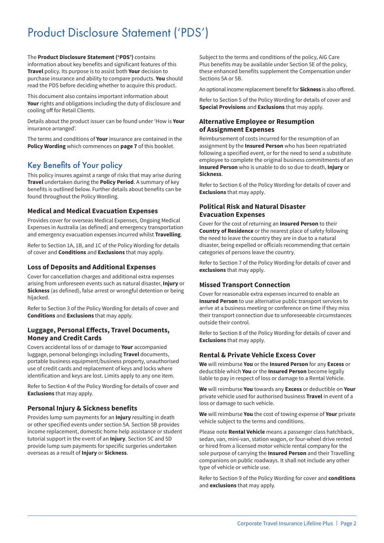## Product Disclosure Statement ('PDS')

The **Product Disclosure Statement ('PDS')** contains information about key benefits and significant features of this **Travel** policy. Its purpose is to assist both **Your** decision to purchase insurance and ability to compare products. **You** should read the PDS before deciding whether to acquire this product.

This document also contains important information about **Your** rights and obligations including the duty of disclosure and cooling off for Retail Clients.

Details about the product issuer can be found under 'How is **Your** insurance arranged'.

The terms and conditions of **Your** insurance are contained in the **Policy Wording** which commences on **page 7** of this booklet.

## Key Benefits of Your policy

This policy insures against a range of risks that may arise during **Travel** undertaken during the **Policy Period**. A summary of key benefits is outlined below. Further details about benefits can be found throughout the Policy Wording.

#### **Medical and Medical Evacuation Expenses**

Provides cover for overseas Medical Expenses, Ongoing Medical Expenses in Australia (as defined) and emergency transportation and emergency evacuation expenses incurred whilst **Travelling**.

Refer to Section 1A, 1B, and 1C of the Policy Wording for details of cover and **Conditions** and **Exclusions** that may apply.

#### **Loss of Deposits and Additional Expenses**

Cover for cancellation charges and additional extra expenses arising from unforeseen events such as natural disaster, **Injury** or **Sickness** (as defined), false arrest or wrongful detention or being hijacked.

Refer to Section 3 of the Policy Wording for details of cover and **Conditions** and **Exclusions** that may apply.

#### **Luggage, Personal Effects, Travel Documents, Money and Credit Cards**

Covers accidental loss of or damage to **Your** accompanied luggage, personal belongings including **Travel** documents, portable business equipment/business property, unauthorised use of credit cards and replacement of keys and locks where identification and keys are lost. Limits apply to any one item.

Refer to Section 4 of the Policy Wording for details of cover and **Exclusions** that may apply.

#### **Personal Injury & Sickness benefits**

Provides lump sum payments for an **Injury** resulting in death or other specified events under section 5A. Section 5B provides income replacement, domestic home help assistance or student tutorial support in the event of an **Injury**. Section 5C and 5D provide lump sum payments for specific surgeries undertaken overseas as a result of **Injury** or **Sickness**.

Subject to the terms and conditions of the policy, AIG Care Plus benefits may be available under Section 5E of the policy, these enhanced benefits supplement the Compensation under Sections 5A or 5B.

An optional income replacement benefit for **Sickness** is also offered.

Refer to Section 5 of the Policy Wording for details of cover and **Special Provisions** and **Exclusions** that may apply.

#### **Alternative Employee or Resumption of Assignment Expenses**

Reimbursement of costs incurred for the resumption of an assignment by the **Insured Person** who has been repatriated following a specified event, or for the need to send a substitute employee to complete the original business commitments of an **Insured Person** who is unable to do so due to death, **Injury** or **Sickness**.

Refer to Section 6 of the Policy Wording for details of cover and **Exclusions** that may apply.

#### **Political Risk and Natural Disaster Evacuation Expenses**

Cover for the cost of returning an **Insured Person** to their **Country of Residence** or the nearest place of safety following the need to leave the country they are in due to a natural disaster, being expelled or officials recommending that certain categories of persons leave the country.

Refer to Section 7 of the Policy Wording for details of cover and **exclusions** that may apply.

#### **Missed Transport Connection**

Cover for reasonable extra expenses incurred to enable an **Insured Person** to use alternative public transport services to arrive at a business meeting or conference on time if they miss their transport connection due to unforeseeable circumstances outside their control.

Refer to Section 8 of the Policy Wording for details of cover and **Exclusions** that may apply.

#### **Rental & Private Vehicle Excess Cover**

**We** will reimburse **You** or the **Insured Person** for any **Excess** or deductible which **You** or the **Insured Person** become legally liable to pay in respect of loss or damage to a Rental Vehicle.

**We** will reimburse **You** towards any **Excess** or deductible on **Your** private vehicle used for authorised business **Travel** in event of a loss or damage to such vehicle.

**We** will reimburse **You** the cost of towing expense of **Your** private vehicle subject to the terms and conditions.

Please note **Rental Vehicle** means a passenger class hatchback, sedan, van, mini-van, station wagon, or four-wheel drive rented or hired from a licensed motor vehicle rental company for the sole purpose of carrying the **Insured Person** and their Travelling companions on public roadways. It shall not include any other type of vehicle or vehicle use.

Refer to Section 9 of the Policy Wording for cover and **conditions** and **exclusions** that may apply.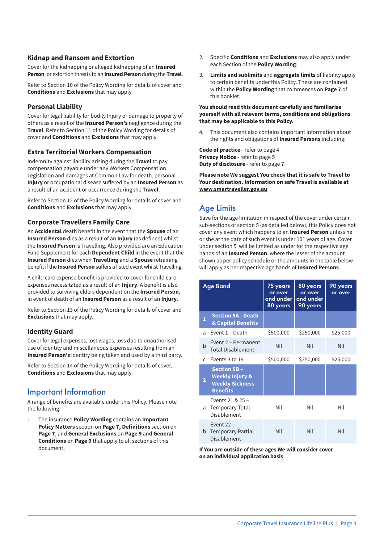#### **Kidnap and Ransom and Extortion**

Cover for the kidnapping or alleged kidnapping of an **Insured Person**, or extortion threats to an **Insured Person** during the **Travel**.

Refer to Section 10 of the Policy Wording for details of cover and **Conditions** and **Exclusions** that may apply.

#### **Personal Liability**

Cover for legal liability for bodily Injury or damage to property of others as a result of the **Insured Person's** negligence during the **Travel**. Refer to Section 11 of the Policy Wording for details of cover and **Conditions** and **Exclusions** that may apply.

#### **Extra Territorial Workers Compensation**

Indemnity against liability arising during the **Travel** to pay compensation payable under any Workers Compensation Legislation and damages at Common Law for death, personal **Injury** or occupational disease suffered by an **Insured Person** as a result of an accident or occurrence during the **Travel**.

Refer to Section 12 of the Policy Wording for details of cover and **Conditions** and **Exclusions** that may apply.

#### **Corporate Travellers Family Care**

An **Accidental** death benefit in the event that the **Spouse** of an **Insured Person** dies as a result of an **Injury** (as defined) whilst the **Insured Person** is Travelling. Also provided are an Education Fund Supplement for each **Dependent Child** in the event that the **Insured Person** dies when **Travelling** and a **Spouse** retraining benefit if the **Insured Person** suffers a listed event whilst Travelling.

A child care expense benefit is provided to cover for child care expenses necessitated as a result of an **Injury**. A benefit is also provided to surviving elders dependent on the **Insured Person**, in event of death of an **Insured Person** as a result of an **Injury**.

Refer to Section 13 of the Policy Wording for details of cover and **Exclusions** that may apply.

#### **Identity Guard**

Cover for legal expenses, lost wages, loss due to unauthorised use of identity and miscellaneous expenses resulting from an **Insured Person's** identity being taken and used by a third party.

Refer to Section 14 of the Policy Wording for details of cover, **Conditions** and **Exclusions** that may apply.

### Important Information

A range of benefits are available under this Policy. Please note the following:

1. The insurance **Policy Wording** contains an **Important Policy Matters** section on **Page 7, Definitions** section on **Page 7**, and **General Exclusions** on **Page 9** and **General Conditions** on **Page 9** that apply to all sections of this document.

- 2. Specific **Conditions** and **Exclusions** may also apply under each Section of the **Policy Wording**.
- 3. **Limits and sublimits** and **aggregate limits** of liability apply to certain benefits under this Policy. These are contained within the **Policy Wording** that commences on **Page 7** of this booklet.

#### **You should read this document carefully and familiarise yourself with all relevant terms, conditions and obligations that may be applicable to this Policy.**

This document also contains important information about the rights and obligations of **Insured Persons** including:

**Code of practice** - refer to page 4 **Privacy Notice** - refer to page 5 **Duty of disclosure** - refer to page 7

**Please note We suggest You check that it is safe to Travel to Your destination. Information on safe Travel is available at www.smartraveller.gov.au**

## Age Limits

Save for the age limitation in respect of the cover under certain sub-sections of section 5 (as detailed below), this Policy does not cover any event which happens to an **Insured Person** unless he or she at the date of such event is under 101 years of age. Cover under section 5 will be limited as under for the respective age bands of an **Insured Person**, where the lesser of the amount shown as per policy schedule or the amounts in the table below will apply as per respective age bands of **Insured Persons**.

|              | <b>Age Band</b>                                                                                | 75 years<br>or over<br>and under<br>80 years | 80 years<br>or over<br>and under<br>90 years | 90 years<br>or over |
|--------------|------------------------------------------------------------------------------------------------|----------------------------------------------|----------------------------------------------|---------------------|
|              | <b>Section 5A - Death</b><br>& Capital Benefits                                                |                                              |                                              |                     |
| a            | Fvent 1 - Death                                                                                | \$500,000                                    | \$250,000                                    | \$25,000            |
| b            | Event 2 - Permanent<br><b>Total Disablement</b>                                                | Nil                                          | Nil                                          | <b>Nil</b>          |
| $\mathsf{C}$ | Events 3 to 19                                                                                 | \$500,000                                    | \$250,000                                    | \$25,000            |
|              | <b>Section 5B -</b><br><b>Weekly Injury &amp;</b><br><b>Weekly Sickness</b><br><b>Benefits</b> |                                              |                                              |                     |
| a            | Events 21 & 25 -<br><b>Temporary Total</b><br>Disablement                                      | Nil                                          | Nil                                          | Nil                 |
| b            | Event 22 -<br><b>Temporary Partial</b><br>Disablement                                          | Nil                                          | Nil                                          | Nil                 |

**If You are outside of these ages We will consider cover on an individual application basis**.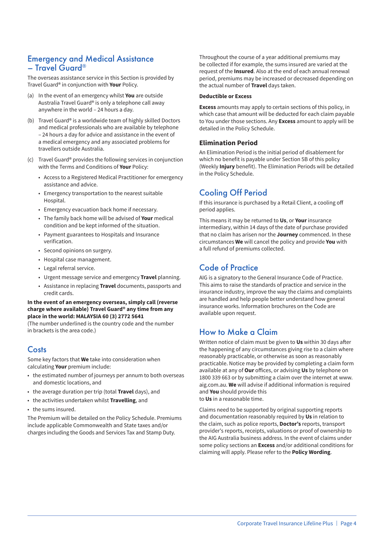### Emergency and Medical Assistance – Travel Guard®

The overseas assistance service in this Section is provided by Travel Guard® in conjunction with **Your** Policy.

- (a) In the event of an emergency whilst **You** are outside Australia Travel Guard® is only a telephone call away anywhere in the world – 24 hours a day.
- (b) Travel Guard® is a worldwide team of highly skilled Doctors and medical professionals who are available by telephone – 24 hours a day for advice and assistance in the event of a medical emergency and any associated problems for travellers outside Australia.
- (c) Travel Guard® provides the following services in conjunction with the Terms and Conditions of **Your** Policy:
	- Access to a Registered Medical Practitioner for emergency assistance and advice.
	- Emergency transportation to the nearest suitable Hospital.
	- Emergency evacuation back home if necessary.
	- The family back home will be advised of **Your** medical condition and be kept informed of the situation.
	- Payment guarantees to Hospitals and Insurance verification.
	- Second opinions on surgery.
	- Hospital case management.
	- Legal referral service.
	- Urgent message service and emergency **Travel** planning.
	- Assistance in replacing **Travel** documents, passports and credit cards.

#### **In the event of an emergency overseas, simply call (reverse charge where available) Travel Guard® any time from any place in the world: MALAYSIA 60 (3) 2772 5641**

(The number underlined is the country code and the number in brackets is the area code.)

## **Costs**

Some key factors that **We** take into consideration when calculating **Your** premium include:

- the estimated number of journeys per annum to both overseas and domestic locations, and
- the average duration per trip (total **Travel** days), and
- the activities undertaken whilst **Travelling**, and
- the sums insured.

The Premium will be detailed on the Policy Schedule. Premiums include applicable Commonwealth and State taxes and/or charges including the Goods and Services Tax and Stamp Duty.

Throughout the course of a year additional premiums may be collected if for example, the sums insured are varied at the request of the **Insured**. Also at the end of each annual renewal period, premiums may be increased or decreased depending on the actual number of **Travel** days taken.

#### **Deductible or Excess**

**Excess** amounts may apply to certain sections of this policy, in which case that amount will be deducted for each claim payable to You under those sections. Any **Excess** amount to apply will be detailed in the Policy Schedule.

#### **Elimination Period**

An Elimination Period is the initial period of disablement for which no benefit is payable under Section 5B of this policy (Weekly **Injury** benefit). The Elimination Periods will be detailed in the Policy Schedule.

## Cooling Off Period

If this insurance is purchased by a Retail Client, a cooling off period applies.

This means it may be returned to **Us**, or **Your** insurance intermediary, within 14 days of the date of purchase provided that no claim has arisen nor the **Journey** commenced. In these circumstances **We** will cancel the policy and provide **You** with a full refund of premiums collected.

## Code of Practice

AIG is a signatory to the General Insurance Code of Practice. This aims to raise the standards of practice and service in the insurance industry, improve the way the claims and complaints are handled and help people better understand how general insurance works. Information brochures on the Code are available upon request.

## How to Make a Claim

Written notice of claim must be given to **Us** within 30 days after the happening of any circumstances giving rise to a claim where reasonably practicable, or otherwise as soon as reasonably practicable. Notice may be provided by completing a claim form available at any of **Our** offices, or advising **Us** by telephone on 1800 339 663 or by submitting a claim over the internet at www. aig.com.au. **We** will advise if additional information is required and **You** should provide this

to **Us** in a reasonable time.

Claims need to be supported by original supporting reports and documentation reasonably required by **Us** in relation to the claim, such as police reports, **Doctor's** reports, transport provider's reports, receipts, valuations or proof of ownership to the AIG Australia business address. In the event of claims under some policy sections an **Excess** and/or additional conditions for claiming will apply. Please refer to the **Policy Wording**.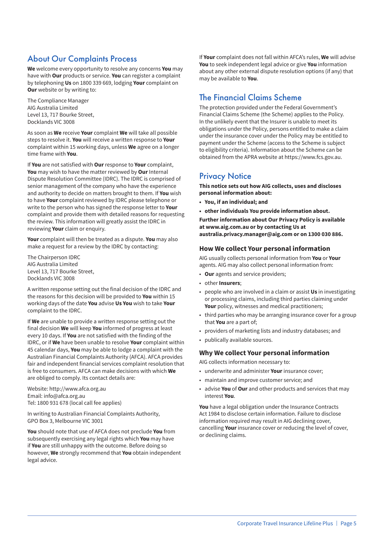## About Our Complaints Process

**We** welcome every opportunity to resolve any concerns **You** may have with **Our** products or service. **You** can register a complaint by telephoning **Us** on 1800 339 669, lodging **Your** complaint on **Our** website or by writing to:

The Compliance Manager AIG Australia Limited Level 13, 717 Bourke Street, Docklands VIC 3008

As soon as **We** receive **Your** complaint **We** will take all possible steps to resolve it. **You** will receive a written response to **Your** complaint within 15 working days, unless **We** agree on a longer time frame with **You**.

If **You** are not satisfied with **Our** response to **Your** complaint, **You** may wish to have the matter reviewed by **Our** Internal Dispute Resolution Committee (IDRC). The IDRC is comprised of senior management of the company who have the experience and authority to decide on matters brought to them. If **You** wish to have **Your** complaint reviewed by IDRC please telephone or write to the person who has signed the response letter to **Your** complaint and provide them with detailed reasons for requesting the review. This information will greatly assist the IDRC in reviewing **Your** claim or enquiry.

**Your** complaint will then be treated as a dispute. **You** may also make a request for a review by the IDRC by contacting:

The Chairperson IDRC AIG Australia Limited Level 13, 717 Bourke Street, Docklands VIC 3008

A written response setting out the final decision of the IDRC and the reasons for this decision will be provided to **You** within 15 working days of the date **You** advise **Us You** wish to take **Your** complaint to the IDRC.

If **We** are unable to provide a written response setting out the final decision **We** will keep **You** informed of progress at least every 10 days. If **You** are not satisfied with the finding of the IDRC, or if **We** have been unable to resolve **Your** complaint within 45 calendar days, **You** may be able to lodge a complaint with the Australian Financial Complaints Authority (AFCA). AFCA provides fair and independent financial services complaint resolution that is free to consumers. AFCA can make decisions with which **We** are obliged to comply. Its contact details are:

Website: http://www.afca.org.au Email: info@afca.org.au Tel: 1800 931 678 (local call fee applies)

In writing to Australian Financial Complaints Authority, GPO Box 3, Melbourne VIC 3001

**You** should note that use of AFCA does not preclude **You** from subsequently exercising any legal rights which **You** may have if **You** are still unhappy with the outcome. Before doing so however, **We** strongly recommend that **You** obtain independent legal advice.

If **Your** complaint does not fall within AFCA's rules, **We** will advise **You** to seek independent legal advice or give **You** information about any other external dispute resolution options (if any) that may be available to **You**.

## The Financial Claims Scheme

The protection provided under the Federal Government's Financial Claims Scheme (the Scheme) applies to the Policy. In the unlikely event that the Insurer is unable to meet its obligations under the Policy, persons entitled to make a claim under the insurance cover under the Policy may be entitled to payment under the Scheme (access to the Scheme is subject to eligibility criteria). Information about the Scheme can be obtained from the APRA website at https://www.fcs.gov.au.

### **Privacy Notice**

**This notice sets out how AIG collects, uses and discloses personal information about:**

- **• You, if an individual; and**
- **• other individuals You provide information about.**

**Further information about Our Privacy Policy is available at www.aig.com.au or by contacting Us at australia.privacy.manager@aig.com or on 1300 030 886.**

#### **How We collect Your personal information**

AIG usually collects personal information from **You** or **Your** agents. AIG may also collect personal information from:

- **Our** agents and service providers;
- other **Insurers**;
- people who are involved in a claim or assist **Us** in investigating or processing claims, including third parties claiming under **Your** policy, witnesses and medical practitioners;
- third parties who may be arranging insurance cover for a group that **You** are a part of;
- providers of marketing lists and industry databases; and
- publically available sources.

#### **Why We collect Your personal information**

AIG collects information necessary to:

- underwrite and administer **Your** insurance cover;
- maintain and improve customer service; and
- advise **You** of **Our** and other products and services that may interest **You**.

**You** have a legal obligation under the Insurance Contracts Act 1984 to disclose certain information. Failure to disclose information required may result in AIG declining cover, cancelling **Your** insurance cover or reducing the level of cover, or declining claims.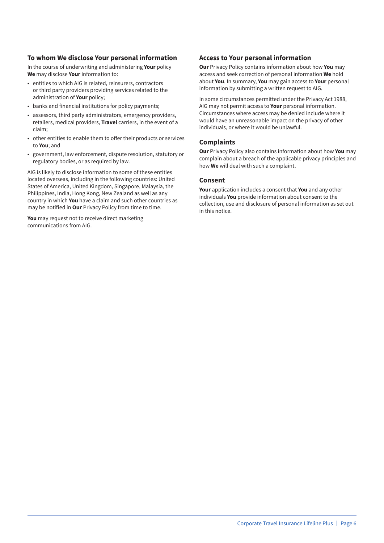#### **To whom We disclose Your personal information**

In the course of underwriting and administering **Your** policy **We** may disclose **Your** information to:

- entities to which AIG is related, reinsurers, contractors or third party providers providing services related to the administration of **Your** policy;
- banks and financial institutions for policy payments;
- assessors, third party administrators, emergency providers, retailers, medical providers, **Travel** carriers, in the event of a claim;
- other entities to enable them to offer their products or services to **You**; and
- government, law enforcement, dispute resolution, statutory or regulatory bodies, or as required by law.

AIG is likely to disclose information to some of these entities located overseas, including in the following countries: United States of America, United Kingdom, Singapore, Malaysia, the Philippines, India, Hong Kong, New Zealand as well as any country in which **You** have a claim and such other countries as may be notified in **Our** Privacy Policy from time to time.

**You** may request not to receive direct marketing communications from AIG.

#### **Access to Your personal information**

**Our** Privacy Policy contains information about how **You** may access and seek correction of personal information **We** hold about **You**. In summary, **You** may gain access to **Your** personal information by submitting a written request to AIG.

In some circumstances permitted under the Privacy Act 1988, AIG may not permit access to **Your** personal information. Circumstances where access may be denied include where it would have an unreasonable impact on the privacy of other individuals, or where it would be unlawful.

#### **Complaints**

**Our** Privacy Policy also contains information about how **You** may complain about a breach of the applicable privacy principles and how **We** will deal with such a complaint.

#### **Consent**

**Your** application includes a consent that **You** and any other individuals **You** provide information about consent to the collection, use and disclosure of personal information as set out in this notice.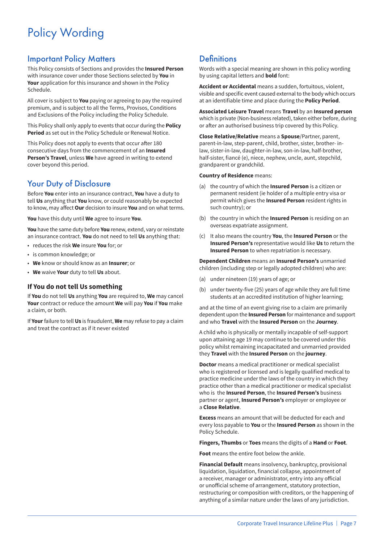## Policy Wording

## Important Policy Matters

This Policy consists of Sections and provides the **Insured Person** with insurance cover under those Sections selected by **You** in **Your** application for this insurance and shown in the Policy Schedule.

All cover is subject to **You** paying or agreeing to pay the required premium, and is subject to all the Terms, Provisos, Conditions and Exclusions of the Policy including the Policy Schedule.

This Policy shall only apply to events that occur during the **Policy Period** as set out in the Policy Schedule or Renewal Notice.

This Policy does not apply to events that occur after 180 consecutive days from the commencement of an **Insured Person's Travel**, unless **We** have agreed in writing to extend cover beyond this period.

## Your Duty of Disclosure

Before **You** enter into an insurance contract, **You** have a duty to tell **Us** anything that **You** know, or could reasonably be expected to know, may affect **Our** decision to insure **You** and on what terms.

**You** have this duty until **We** agree to insure **You**.

**You** have the same duty before **You** renew, extend, vary or reinstate an insurance contract. **You** do not need to tell **Us** anything that:

- reduces the risk **We** insure **You** for; or
- is common knowledge; or
- **We** know or should know as an **Insurer**; or
- **We** waive **Your** duty to tell **Us** about.

#### **If You do not tell Us something**

If **You** do not tell **Us** anything **You** are required to, **We** may cancel **Your** contract or reduce the amount **We** will pay **You** if **You** make a claim, or both.

If **Your** failure to tell **Us** is fraudulent, **We** may refuse to pay a claim and treat the contract as if it never existed

## **Definitions**

Words with a special meaning are shown in this policy wording by using capital letters and **bold** font:

**Accident or Accidental** means a sudden, fortuitous, violent, visible and specific event caused external to the body which occurs at an identifiable time and place during the **Policy Period**.

**Associated Leisure Travel** means **Travel** by an **Insured person** which is private (Non-business related), taken either before, during or after an authorised business trip covered by this Policy.

**Close Relative/Relative** means a **Spouse**/Partner, parent, parent-in-law, step-parent, child, brother, sister, brother- inlaw, sister-in-law, daughter-in-law, son-in-law, half-brother, half-sister, fiancé (e), niece, nephew, uncle, aunt, stepchild, grandparent or grandchild.

#### **Country of Residence** means:

- (a) the country of which the **Insured Person** is a citizen or permanent resident (ie holder of a multiple entry visa or permit which gives the **Insured Person** resident rights in such country); or
- (b) the country in which the **Insured Person** is residing on an overseas expatriate assignment.
- (c) It also means the country **You**, the **Insured Person** or the **Insured Person's** representative would like **Us** to return the **Insured Person** to when repatriation is necessary.

#### **Dependent Children** means an **Insured Person's** unmarried children (including step or legally adopted children) who are:

- (a) under nineteen (19) years of age; or
- (b) under twenty-five (25) years of age while they are full time students at an accredited institution of higher learning;

and at the time of an event giving rise to a claim are primarily dependent upon the **Insured Person** for maintenance and support and who **Travel** with the **Insured Person** on the **Journey**.

A child who is physically or mentally incapable of self-support upon attaining age 19 may continue to be covered under this policy whilst remaining incapacitated and unmarried provided they **Travel** with the **Insured Person** on the **journey**.

**Doctor** means a medical practitioner or medical specialist who is registered or licensed and is legally qualified medical to practice medicine under the laws of the country in which they practice other than a medical practitioner or medical specialist who is the **Insured Person**, the **Insured Person's** business partner or agent, **Insured Person's** employer or employee or a **Close Relative**.

**Excess** means an amount that will be deducted for each and every loss payable to **You** or the **Insured Person** as shown in the Policy Schedule.

**Fingers, Thumbs** or **Toes** means the digits of a **Hand** or **Foot**.

**Foot** means the entire foot below the ankle.

**Financial Default** means insolvency, bankruptcy, provisional liquidation, liquidation, financial collapse, appointment of a receiver, manager or administrator, entry into any official or unofficial scheme of arrangement, statutory protection, restructuring or composition with creditors, or the happening of anything of a similar nature under the laws of any jurisdiction.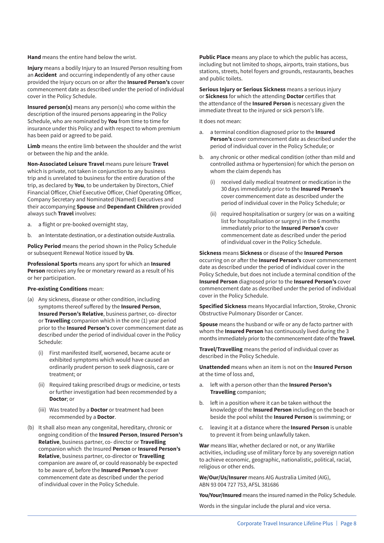**Hand** means the entire hand below the wrist.

**Injury** means a bodily Injury to an Insured Person resulting from an **Accident** and occurring independently of any other cause provided the Injury occurs on or after the **Insured Person's** cover commencement date as described under the period of individual cover in the Policy Schedule.

**Insured person(s)** means any person(s) who come within the description of the insured persons appearing in the Policy Schedule, who are nominated by **You** from time to time for insurance under this Policy and with respect to whom premium has been paid or agreed to be paid.

**Limb** means the entire limb between the shoulder and the wrist or between the hip and the ankle.

**Non-Associated Leisure Travel** means pure leisure **Travel** which is private, not taken in conjunction to any business trip and is unrelated to business for the entire duration of the trip, as declared by **You**, to be undertaken by Directors, Chief Financial Officer, Chief Executive Officer, Chief Operating Officer, Company Secretary and Nominated (Named) Executives and their accompanying **Spouse** and **Dependant Children** provided always such **Travel** involves:

- a. a flight or pre-booked overnight stay,
- b. an Interstate destination, or a destination outside Australia.

**Policy Period** means the period shown in the Policy Schedule or subsequent Renewal Notice issued by **Us**.

**Professional Sports** means any sport for which an **Insured Person** receives any fee or monetary reward as a result of his or her participation.

#### **Pre-existing Conditions** mean:

- (a) Any sickness, disease or other condition, including symptoms thereof suffered by the **Insured Person**, **Insured Person's Relative**, business partner, co- director or **Travelling** companion which in the one (1) year period prior to the **Insured Person's** cover commencement date as described under the period of individual cover in the Policy Schedule:
	- (i) First manifested itself, worsened, became acute or exhibited symptoms which would have caused an ordinarily prudent person to seek diagnosis, care or treatment; or
	- (ii) Required taking prescribed drugs or medicine, or tests or further investigation had been recommended by a **Doctor**; or
	- (iii) Was treated by a **Doctor** or treatment had been recommended by a **Doctor**.
- (b) It shall also mean any congenital, hereditary, chronic or ongoing condition of the **Insured Person**, **Insured Person's Relative**, business partner, co- director or **Travelling** companion which the Insured **Person** or **Insured Person's Relative**, business partner, co-director or **Travelling** companion are aware of, or could reasonably be expected to be aware of, before the **Insured Person's** cover commencement date as described under the period of individual cover in the Policy Schedule.

**Public Place** means any place to which the public has access, including but not limited to shops, airports, train stations, bus stations, streets, hotel foyers and grounds, restaurants, beaches and public toilets.

**Serious Injury or Serious Sickness** means a serious injury or **Sickness** for which the attending **Doctor** certifies that the attendance of the **Insured Person** is necessary given the immediate threat to the injured or sick person's life.

It does not mean:

- a. a terminal condition diagnosed prior to the **Insured Person's** cover commencement date as described under the period of individual cover in the Policy Schedule; or
- b. any chronic or other medical condition (other than mild and controlled asthma or hypertension) for which the person on whom the claim depends has
	- (i) received daily medical treatment or medication in the 30 days immediately prior to the **Insured Person's** cover commencement date as described under the period of individual cover in the Policy Schedule; or
	- (ii) required hospitalisation or surgery (or was on a waiting list for hospitalisation or surgery) in the 6 months immediately prior to the **Insured Person's** cover commencement date as described under the period of individual cover in the Policy Schedule.

### **Sickness** means **Sickness** or disease of the **Insured Person**

occurring on or after the **Insured Person's** cover commencement date as described under the period of individual cover in the Policy Schedule, but does not include a terminal condition of the **Insured Person** diagnosed prior to the **Insured Person's** cover commencement date as described under the period of individual cover in the Policy Schedule.

**Specified Sickness** means Myocardial Infarction, Stroke, Chronic Obstructive Pulmonary Disorder or Cancer.

**Spouse** means the husband or wife or any de facto partner with whom the **Insured Person** has continuously lived during the 3 months immediately prior to the commencement date of the **Travel**.

**Travel/Travelling** means the period of individual cover as described in the Policy Schedule.

**Unattended** means when an item is not on the **Insured Person** at the time of loss and,

- a. left with a person other than the **Insured Person's Travelling** companion;
- b. left in a position where it can be taken without the knowledge of the **Insured Person** including on the beach or beside the pool whilst the **Insured Person** is swimming; or
- c. leaving it at a distance where the **Insured Person** is unable to prevent it from being unlawfully taken.

**War** means War, whether declared or not, or any Warlike activities, including use of military force by any sovereign nation to achieve economic, geographic, nationalistic, political, racial, religious or other ends.

**We/Our/Us/Insurer** means AIG Australia Limited (AIG), ABN 93 004 727 753, AFSL 381686

**You/Your/Insured** means the insured named in the Policy Schedule.

Words in the singular include the plural and vice versa.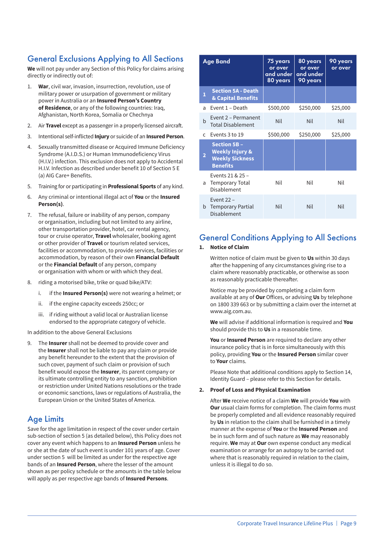## General Exclusions Applying to All Sections

**We** will not pay under any Section of this Policy for claims arising directly or indirectly out of:

- 1. **War**, civil war, invasion, insurrection, revolution, use of military power or usurpation of government or military power in Australia or an **Insured Person's Country of Residence**, or any of the following countries: Iraq, Afghanistan, North Korea, Somalia or Chechnya
- 2. Air **Travel** except as a passenger in a properly licensed aircraft.
- 3. Intentional self-inflicted **Injury** or suicide of an **Insured Person**.
- 4. Sexually transmitted disease or Acquired Immune Deficiency Syndrome (A.I.D.S.) or Human Immunodeficiency Virus (H.I.V.) infection. This exclusion does not apply to Accidental H.I.V. Infection as described under benefit 10 of Section 5 E (a) AIG Care+ Benefits.
- 5. Training for or participating in **Professional Sports** of any kind.
- 6. Any criminal or intentional illegal act of **You** or the **Insured Person(s)**.
- 7. The refusal, failure or inability of any person, company or organisation, including but not limited to any airline, other transportation provider, hotel, car rental agency, tour or cruise operator, **Travel** wholesaler, booking agent or other provider of **Travel** or tourism related services, facilities or accommodation, to provide services, facilities or accommodation, by reason of their own **Financial Default** or the **Financial Default** of any person, company or organisation with whom or with which they deal.
- 8. riding a motorised bike, trike or quad bike/ATV:
	- i. if the **Insured Person(s)** were not wearing a helmet; or
	- ii. if the engine capacity exceeds 250cc; or
	- iii. if riding without a valid local or Australian license endorsed to the appropriate category of vehicle.

In addition to the above General Exclusions

9. The **Insurer** shall not be deemed to provide cover and the **Insurer** shall not be liable to pay any claim or provide any benefit hereunder to the extent that the provision of such cover, payment of such claim or provision of such benefit would expose the **Insurer**, its parent company or its ultimate controlling entity to any sanction, prohibition or restriction under United Nations resolutions or the trade or economic sanctions, laws or regulations of Australia, the European Union or the United States of America.

### Age Limits

Save for the age limitation in respect of the cover under certain sub-section of section 5 (as detailed below), this Policy does not cover any event which happens to an **Insured Person** unless he or she at the date of such event is under 101 years of age. Cover under section 5 will be limited as under for the respective age bands of an **Insured Person**, where the lesser of the amount shown as per policy schedule or the amounts in the table below will apply as per respective age bands of **Insured Persons**.

|                | <b>Age Band</b>                                                                                | 75 years<br>or over<br>and under<br>80 years | 80 years<br>or over<br>and under<br>90 years | 90 years<br>or over |
|----------------|------------------------------------------------------------------------------------------------|----------------------------------------------|----------------------------------------------|---------------------|
| 1              | <b>Section 5A - Death</b><br>& Capital Benefits                                                |                                              |                                              |                     |
| a              | Event 1 - Death                                                                                | \$500,000                                    | \$250,000                                    | \$25,000            |
| b              | Event 2 - Permanent<br><b>Total Disablement</b>                                                | Nil                                          | Nil                                          | Nil                 |
| $\mathsf{C}$   | Events 3 to 19                                                                                 | \$500,000                                    | \$250,000                                    | \$25,000            |
| $\overline{2}$ | <b>Section 5B -</b><br><b>Weekly Injury &amp;</b><br><b>Weekly Sickness</b><br><b>Benefits</b> |                                              |                                              |                     |
|                | Events 21 & 25 -<br>a Temporary Total<br>Disablement                                           | Nil                                          | Nil                                          | Nil                 |
| b.             | Event $22 -$<br><b>Temporary Partial</b><br>Disablement                                        | Nil                                          | Nil                                          | Nil                 |

## General Conditions Applying to All Sections

#### **1. Notice of Claim**

Written notice of claim must be given to **Us** within 30 days after the happening of any circumstances giving rise to a claim where reasonably practicable, or otherwise as soon as reasonably practicable thereafter.

Notice may be provided by completing a claim form available at any of **Our** Offices, or advising **Us** by telephone on 1800 339 663 or by submitting a claim over the internet at www.aig.com.au.

**We** will advise if additional information is required and **You** should provide this to **Us** in a reasonable time.

**You** or **Insured Person** are required to declare any other insurance policy that is in force simultaneously with this policy, providing **You** or the **Insured Person** similar cover to **Your** claims.

Please Note that additional conditions apply to Section 14, Identity Guard – please refer to this Section for details.

#### **2. Proof of Loss and Physical Examination**

After **We** receive notice of a claim **We** will provide **You** with **Our** usual claim forms for completion. The claim forms must be properly completed and all evidence reasonably required by **Us** in relation to the claim shall be furnished in a timely manner at the expense of **You** or the **Insured Person** and be in such form and of such nature as **We** may reasonably require. **We** may at **Our** own expense conduct any medical examination or arrange for an autopsy to be carried out where that is reasonably required in relation to the claim, unless it is illegal to do so.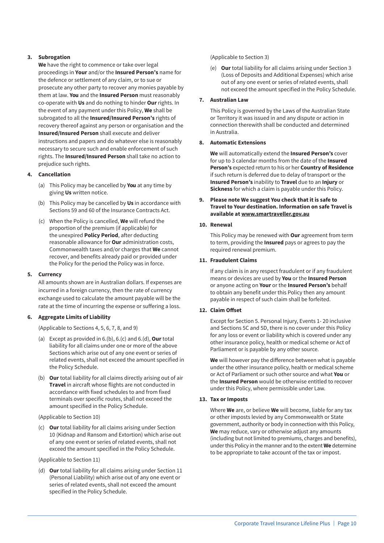#### **3. Subrogation**

**We** have the right to commence or take over legal proceedings in **Your** and/or the **Insured Person's** name for the defence or settlement of any claim, or to sue or prosecute any other party to recover any monies payable by them at law. **You** and the **Insured Person** must reasonably co-operate with **Us** and do nothing to hinder **Our** rights. In the event of any payment under this Policy, **We** shall be subrogated to all the **Insured/Insured Person's** rights of recovery thereof against any person or organisation and the **Insured/Insured Person** shall execute and deliver instructions and papers and do whatever else is reasonably necessary to secure such and enable enforcement of such rights. The **Insured/Insured Person** shall take no action to prejudice such rights.

#### **4. Cancellation**

- (a) This Policy may be cancelled by **You** at any time by giving **Us** written notice.
- (b) This Policy may be cancelled by **Us** in accordance with Sections 59 and 60 of the Insurance Contracts Act.
- (c) When the Policy is cancelled, **We** will refund the proportion of the premium (if applicable) for the unexpired **Policy Period**, after deducting reasonable allowance for **Our** administration costs, Commonwealth taxes and/or charges that **We** cannot recover, and benefits already paid or provided under the Policy for the period the Policy was in force.

#### **5. Currency**

All amounts shown are in Australian dollars. If expenses are incurred in a foreign currency, then the rate of currency exchange used to calculate the amount payable will be the rate at the time of incurring the expense or suffering a loss.

#### **6. Aggregate Limits of Liability**

(Applicable to Sections 4, 5, 6, 7, 8, and 9)

- (a) Except as provided in 6.(b), 6.(c) and 6.(d), **Our** total liability for all claims under one or more of the above Sections which arise out of any one event or series of related events, shall not exceed the amount specified in the Policy Schedule.
- (b) **Our** total liability for all claims directly arising out of air **Travel** in aircraft whose flights are not conducted in accordance with fixed schedules to and from fixed terminals over specific routes, shall not exceed the amount specified in the Policy Schedule.

#### (Applicable to Section 10)

(c) **Our** total liability for all claims arising under Section 10 (Kidnap and Ransom and Extortion) which arise out of any one event or series of related events, shall not exceed the amount specified in the Policy Schedule.

#### (Applicable to Section 11)

(d) **Our** total liability for all claims arising under Section 11 (Personal Liability) which arise out of any one event or series of related events, shall not exceed the amount specified in the Policy Schedule.

#### (Applicable to Section 3)

(e) **Our** total liability for all claims arising under Section 3 (Loss of Deposits and Additional Expenses) which arise out of any one event or series of related events, shall not exceed the amount specified in the Policy Schedule.

#### **7. Australian Law**

This Policy is governed by the Laws of the Australian State or Territory it was issued in and any dispute or action in connection therewith shall be conducted and determined in Australia.

#### **8. Automatic Extensions**

**We** will automatically extend the **Insured Person's** cover for up to 3 calendar months from the date of the **Insured Person's** expected return to his or her **Country of Residence** if such return is deferred due to delay of transport or the **Insured Person's** inability to **Travel** due to an **Injury** or **Sickness** for which a claim is payable under this Policy.

#### **9. Please note We suggest You check that it is safe to Travel to Your destination. Information on safe Travel is available at www.smartraveller.gov.au**

#### **10. Renewal**

This Policy may be renewed with **Our** agreement from term to term, providing the **Insured** pays or agrees to pay the required renewal premium.

#### **11. Fraudulent Claims**

If any claim is in any respect fraudulent or if any fraudulent means or devices are used by **You** or the **Insured Person** or anyone acting on **Your** or the **Insured Person's** behalf to obtain any benefit under this Policy then any amount payable in respect of such claim shall be forfeited.

#### **12. Claim Offset**

Except for Section 5. Personal Injury, Events 1- 20 inclusive and Sections 5C and 5D, there is no cover under this Policy for any loss or event or liability which is covered under any other insurance policy, health or medical scheme or Act of Parliament or is payable by any other source.

**We** will however pay the difference between what is payable under the other insurance policy, health or medical scheme or Act of Parliament or such other source and what **You** or the **Insured Person** would be otherwise entitled to recover under this Policy, where permissible under Law.

#### **13. Tax or Imposts**

Where **We** are, or believe **We** will become, liable for any tax or other imposts levied by any Commonwealth or State government, authority or body in connection with this Policy, **We** may reduce, vary or otherwise adjust any amounts (including but not limited to premiums, charges and benefits), under this Policy in the manner and to the extent **We** determine to be appropriate to take account of the tax or impost.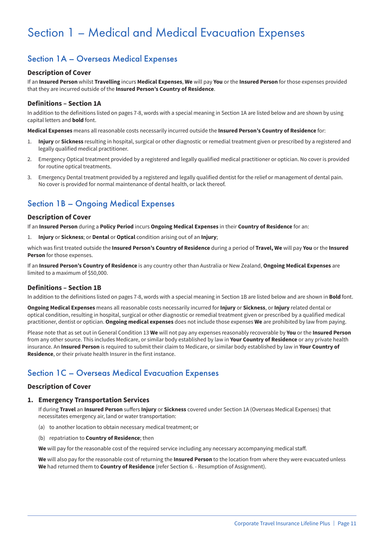## Section 1 – Medical and Medical Evacuation Expenses

## Section 1A – Overseas Medical Expenses

#### **Description of Cover**

If an **Insured Person** whilst **Travelling** incurs **Medical Expenses**, **We** will pay **You** or the **Insured Person** for those expenses provided that they are incurred outside of the **Insured Person's Country of Residence**.

#### **Definitions – Section 1A**

In addition to the definitions listed on pages 7-8, words with a special meaning in Section 1A are listed below and are shown by using capital letters and **bold** font.

**Medical Expenses** means all reasonable costs necessarily incurred outside the **Insured Person's Country of Residence** for:

- 1. **Injury** or **Sickness** resulting in hospital, surgical or other diagnostic or remedial treatment given or prescribed by a registered and legally qualified medical practitioner.
- 2. Emergency Optical treatment provided by a registered and legally qualified medical practitioner or optician. No cover is provided for routine optical treatments.
- 3. Emergency Dental treatment provided by a registered and legally qualified dentist for the relief or management of dental pain. No cover is provided for normal maintenance of dental health, or lack thereof.

## Section 1B – Ongoing Medical Expenses

#### **Description of Cover**

If an **Insured Person** during a **Policy Period** incurs **Ongoing Medical Expenses** in their **Country of Residence** for an:

1. **Injury** or **Sickness**; or **Dental** or **Optical** condition arising out of an **Injury**;

which was first treated outside the **Insured Person's Country of Residence** during a period of **Travel, We** will pay **You** or the **Insured Person** for those expenses.

If an **Insured Person's Country of Residence** is any country other than Australia or New Zealand, **Ongoing Medical Expenses** are limited to a maximum of \$50,000.

#### **Definitions – Section 1B**

In addition to the definitions listed on pages 7-8, words with a special meaning in Section 1B are listed below and are shown in **Bold** font.

**Ongoing Medical Expenses** means all reasonable costs necessarily incurred for **Injury** or **Sickness**, or **Injury** related dental or optical condition, resulting in hospital, surgical or other diagnostic or remedial treatment given or prescribed by a qualified medical practitioner, dentist or optician. **Ongoing medical expenses** does not include those expenses **We** are prohibited by law from paying.

Please note that as set out in General Condition 13 **We** will not pay any expenses reasonably recoverable by **You** or the **Insured Person** from any other source. This includes Medicare, or similar body established by law in **Your Country of Residence** or any private health insurance. An **Insured Person** is required to submit their claim to Medicare, or similar body established by law in **Your Country of Residence**, or their private health Insurer in the first instance.

## Section 1C – Overseas Medical Evacuation Expenses

#### **Description of Cover**

#### **1. Emergency Transportation Services**

If during **Travel** an **Insured Person** suffers **Injury** or **Sickness** covered under Section 1A (Overseas Medical Expenses) that necessitates emergency air, land or water transportation:

- (a) to another location to obtain necessary medical treatment; or
- (b) repatriation to **Country of Residence**; then

**We** will pay for the reasonable cost of the required service including any necessary accompanying medical staff.

**We** will also pay for the reasonable cost of returning the **Insured Person** to the location from where they were evacuated unless **We** had returned them to **Country of Residence** (refer Section 6. - Resumption of Assignment).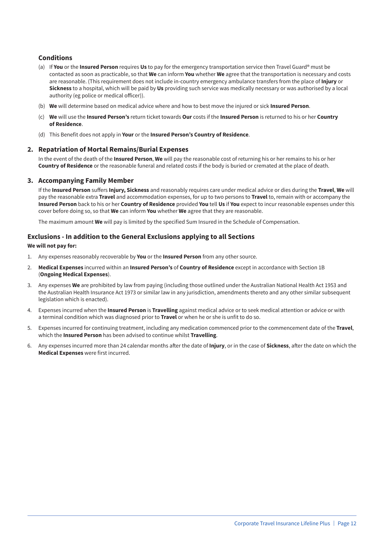#### **Conditions**

- (a) If **You** or the **Insured Person** requires **Us** to pay for the emergency transportation service then Travel Guard® must be contacted as soon as practicable, so that **We** can inform **You** whether **We** agree that the transportation is necessary and costs are reasonable. (This requirement does not include in-country emergency ambulance transfers from the place of **Injury** or **Sickness** to a hospital, which will be paid by **Us** providing such service was medically necessary or was authorised by a local authority (eg police or medical officer)).
- (b) **We** will determine based on medical advice where and how to best move the injured or sick **Insured Person**.
- (c) **We** will use the **Insured Person's** return ticket towards **Our** costs if the **Insured Person** is returned to his or her **Country of Residence**.
- (d) This Benefit does not apply in **Your** or the **Insured Person's Country of Residence**.

#### **2. Repatriation of Mortal Remains/Burial Expenses**

In the event of the death of the **Insured Person**, **We** will pay the reasonable cost of returning his or her remains to his or her **Country of Residence** or the reasonable funeral and related costs if the body is buried or cremated at the place of death.

#### **3. Accompanying Family Member**

If the **Insured Person** suffers **Injury, Sickness** and reasonably requires care under medical advice or dies during the **Travel**, **We** will pay the reasonable extra **Travel** and accommodation expenses, for up to two persons to **Travel** to, remain with or accompany the **Insured Person** back to his or her **Country of Residence** provided **You** tell **Us** if **You** expect to incur reasonable expenses under this cover before doing so, so that **We** can inform **You** whether **We** agree that they are reasonable.

The maximum amount **We** will pay is limited by the specified Sum Insured in the Schedule of Compensation.

#### **Exclusions - In addition to the General Exclusions applying to all Sections**

#### **We will not pay for:**

- 1. Any expenses reasonably recoverable by **You** or the **Insured Person** from any other source.
- 2. **Medical Expenses** incurred within an **Insured Person's** of **Country of Residence** except in accordance with Section 1B (**Ongoing Medical Expenses**).
- 3. Any expenses **We** are prohibited by law from paying (including those outlined under the Australian National Health Act 1953 and the Australian Health Insurance Act 1973 or similar law in any jurisdiction, amendments thereto and any other similar subsequent legislation which is enacted).
- 4. Expenses incurred when the **Insured Person** is **Travelling** against medical advice or to seek medical attention or advice or with a terminal condition which was diagnosed prior to **Travel** or when he or she is unfit to do so.
- 5. Expenses incurred for continuing treatment, including any medication commenced prior to the commencement date of the **Travel**, which the **Insured Person** has been advised to continue whilst **Travelling**.
- 6. Any expenses incurred more than 24 calendar months after the date of **Injury**, or in the case of **Sickness**, after the date on which the **Medical Expenses** were first incurred.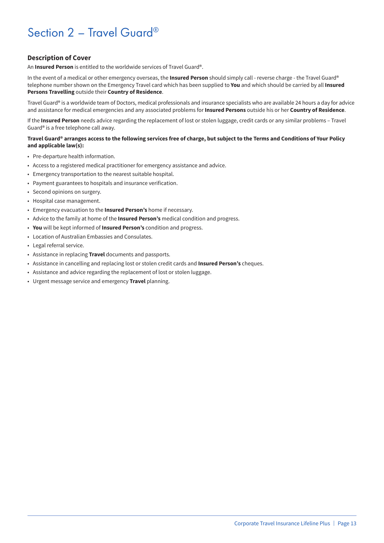## Section 2 - Travel Guard®

#### **Description of Cover**

An **Insured Person** is entitled to the worldwide services of Travel Guard®.

In the event of a medical or other emergency overseas, the **Insured Person** should simply call - reverse charge - the Travel Guard® telephone number shown on the Emergency Travel card which has been supplied to **You** and which should be carried by all **Insured Persons Travelling** outside their **Country of Residence**.

Travel Guard® is a worldwide team of Doctors, medical professionals and insurance specialists who are available 24 hours a day for advice and assistance for medical emergencies and any associated problems for **Insured Persons** outside his or her **Country of Residence**.

If the **Insured Person** needs advice regarding the replacement of lost or stolen luggage, credit cards or any similar problems – Travel Guard® is a free telephone call away.

#### **Travel Guard® arranges access to the following services free of charge, but subject to the Terms and Conditions of Your Policy and applicable law(s):**

- Pre-departure health information.
- Access to a registered medical practitioner for emergency assistance and advice.
- Emergency transportation to the nearest suitable hospital.
- Payment guarantees to hospitals and insurance verification.
- Second opinions on surgery.
- Hospital case management.
- Emergency evacuation to the **Insured Person's** home if necessary.
- Advice to the family at home of the **Insured Person's** medical condition and progress.
- **You** will be kept informed of **Insured Person's** condition and progress.
- Location of Australian Embassies and Consulates.
- Legal referral service.
- Assistance in replacing **Travel** documents and passports.
- Assistance in cancelling and replacing lost or stolen credit cards and **Insured Person's** cheques.
- Assistance and advice regarding the replacement of lost or stolen luggage.
- Urgent message service and emergency **Travel** planning.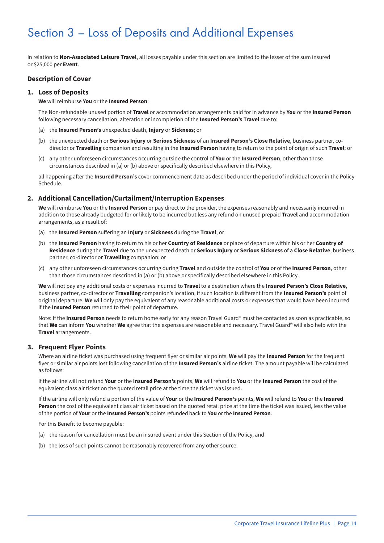## Section 3 – Loss of Deposits and Additional Expenses

In relation to **Non-Associated Leisure Travel**, all losses payable under this section are limited to the lesser of the sum insured or \$25,000 per **Event**.

#### **Description of Cover**

#### **1. Loss of Deposits**

#### **We** will reimburse **You** or the **Insured Person**:

The Non-refundable unused portion of **Travel** or accommodation arrangements paid for in advance by **You** or the **Insured Person** following necessary cancellation, alteration or incompletion of the **Insured Person's Travel** due to:

- (a) the **Insured Person's** unexpected death, **Injury** or **Sickness**; or
- (b) the unexpected death or **Serious Injury** or **Serious Sickness** of an **Insured Person's Close Relative**, business partner, codirector or **Travelling** companion and resulting in the **Insured Person** having to return to the point of origin of such **Travel**; or
- (c) any other unforeseen circumstances occurring outside the control of **You** or the **Insured Person**, other than those circumstances described in (a) or (b) above or specifically described elsewhere in this Policy,

all happening after the **Insured Person's** cover commencement date as described under the period of individual cover in the Policy Schedule.

#### **2. Additional Cancellation/Curtailment/Interruption Expenses**

**We** will reimburse **You** or the **Insured Person** or pay direct to the provider, the expenses reasonably and necessarily incurred in addition to those already budgeted for or likely to be incurred but less any refund on unused prepaid **Travel** and accommodation arrangements, as a result of:

- (a) the **Insured Person** suffering an **Injury** or **Sickness** during the **Travel**; or
- (b) the **Insured Person** having to return to his or her **Country of Residence** or place of departure within his or her **Country of Residence** during the **Travel** due to the unexpected death or **Serious Injury** or **Serious Sickness** of a **Close Relative**, business partner, co-director or **Travelling** companion; or
- (c) any other unforeseen circumstances occurring during **Travel** and outside the control of **You** or of the **Insured Person**, other than those circumstances described in (a) or (b) above or specifically described elsewhere in this Policy.

**We** will not pay any additional costs or expenses incurred to **Travel** to a destination where the **Insured Person's Close Relative**, business partner, co-director or **Travelling** companion's location, if such location is different from the **Insured Person's** point of original departure. **We** will only pay the equivalent of any reasonable additional costs or expenses that would have been incurred if the **Insured Person** returned to their point of departure.

Note: If the **Insured Person** needs to return home early for any reason Travel Guard® must be contacted as soon as practicable, so that **We** can inform **You** whether **We** agree that the expenses are reasonable and necessary. Travel Guard® will also help with the **Travel** arrangements.

#### **3. Frequent Flyer Points**

Where an airline ticket was purchased using frequent flyer or similar air points, **We** will pay the **Insured Person** for the frequent flyer or similar air points lost following cancellation of the **Insured Person's** airline ticket. The amount payable will be calculated as follows:

If the airline will not refund **Your** or the **Insured Person's** points, **We** will refund to **You** or the **Insured Person** the cost of the equivalent class air ticket on the quoted retail price at the time the ticket was issued.

If the airline will only refund a portion of the value of **Your** or the **Insured Person's** points, **We** will refund to **You** or the **Insured Person** the cost of the equivalent class air ticket based on the quoted retail price at the time the ticket was issued, less the value of the portion of **Your** or the **Insured Person's** points refunded back to **You** or the **Insured Person**.

For this Benefit to become payable:

- (a) the reason for cancellation must be an insured event under this Section of the Policy, and
- (b) the loss of such points cannot be reasonably recovered from any other source.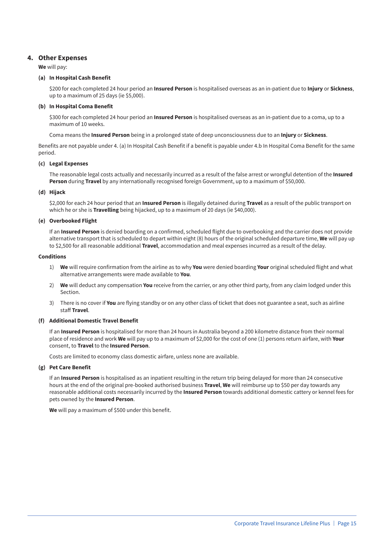#### **4. Other Expenses**

**We** will pay:

#### **(a) In Hospital Cash Benefit**

\$200 for each completed 24 hour period an **Insured Person** is hospitalised overseas as an in-patient due to **Injury** or **Sickness**, up to a maximum of 25 days (ie \$5,000).

#### **(b) In Hospital Coma Benefit**

\$300 for each completed 24 hour period an **Insured Person** is hospitalised overseas as an in-patient due to a coma, up to a maximum of 10 weeks.

Coma means the **Insured Person** being in a prolonged state of deep unconsciousness due to an **Injury** or **Sickness**.

Benefits are not payable under 4. (a) In Hospital Cash Benefit if a benefit is payable under 4.b In Hospital Coma Benefit for the same period.

#### **(c) Legal Expenses**

The reasonable legal costs actually and necessarily incurred as a result of the false arrest or wrongful detention of the **Insured Person** during **Travel** by any internationally recognised foreign Government, up to a maximum of \$50,000.

#### **(d) Hijack**

\$2,000 for each 24 hour period that an **Insured Person** is illegally detained during **Travel** as a result of the public transport on which he or she is **Travelling** being hijacked, up to a maximum of 20 days (ie \$40,000).

#### **(e) Overbooked Flight**

If an **Insured Person** is denied boarding on a confirmed, scheduled flight due to overbooking and the carrier does not provide alternative transport that is scheduled to depart within eight (8) hours of the original scheduled departure time, **We** will pay up to \$2,500 for all reasonable additional **Travel**, accommodation and meal expenses incurred as a result of the delay.

#### **Conditions**

- 1) **We** will require confirmation from the airline as to why **You** were denied boarding **Your** original scheduled flight and what alternative arrangements were made available to **You**.
- 2) **We** will deduct any compensation **You** receive from the carrier, or any other third party, from any claim lodged under this Section.
- 3) There is no cover if **You** are flying standby or on any other class of ticket that does not guarantee a seat, such as airline staff **Travel**.

#### **(f) Additional Domestic Travel Benefit**

If an **Insured Person** is hospitalised for more than 24 hours in Australia beyond a 200 kilometre distance from their normal place of residence and work **We** will pay up to a maximum of \$2,000 for the cost of one (1) persons return airfare, with **Your** consent, to **Travel** to the **Insured Person**.

Costs are limited to economy class domestic airfare, unless none are available.

#### **(g) Pet Care Benefit**

If an **Insured Person** is hospitalised as an inpatient resulting in the return trip being delayed for more than 24 consecutive hours at the end of the original pre-booked authorised business **Travel**, **We** will reimburse up to \$50 per day towards any reasonable additional costs necessarily incurred by the **Insured Person** towards additional domestic cattery or kennel fees for pets owned by the **Insured Person**.

**We** will pay a maximum of \$500 under this benefit.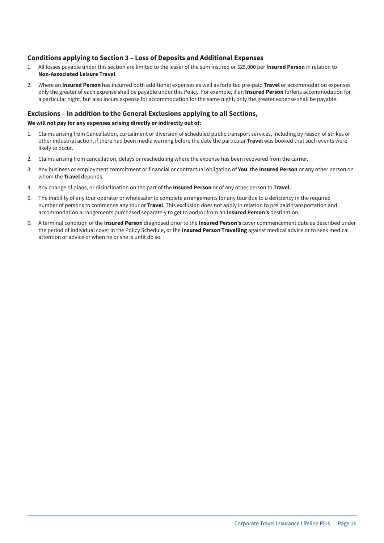#### **Conditions applying to Section 3 – Loss of Deposits and Additional Expenses**

- 1. All losses payable under this section are limited to the lesser of the sum insured or \$25,000 per **Insured Person** in relation to **Non-Associated Leisure Travel**.
- 2. Where an **Insured Person** has incurred both additional expenses as well as forfeited pre-paid **Travel** or accommodation expenses only the greater of each expense shall be payable under this Policy. For example, if an **Insured Person** forfeits accommodation for a particular night, but also incurs expense for accommodation for the same night, only the greater expense shall be payable.

#### **Exclusions – In addition to the General Exclusions applying to all Sections,**

#### **We will not pay for any expenses arising directly or indirectly out of:**

- 1. Claims arising from Cancellation, curtailment or diversion of scheduled public transport services, including by reason of strikes or other industrial action, if there had been media warning before the date the particular **Travel** was booked that such events were likely to occur.
- 2. Claims arising from cancellation, delays or rescheduling where the expense has been recovered from the carrier.
- 3. Any business or employment commitment or financial or contractual obligation of **You**, the **Insured Person** or any other person on whom the **Travel** depends.
- 4. Any change of plans, or disinclination on the part of the **Insured Person** or of any other person to **Travel**.
- 5. The inability of any tour operator or wholesaler to complete arrangements for any tour due to a deficiency in the required number of persons to commence any tour or **Travel**. This exclusion does not apply in relation to pre paid transportation and accommodation arrangements purchased separately to get to and/or from an **Insured Person's** destination.
- 6. A terminal condition of the **Insured Person** diagnosed prior to the **Insured Person's** cover commencement date as described under the period of individual cover in the Policy Schedule, or the **Insured Person Travelling** against medical advice or to seek medical attention or advice or when he or she is unfit do so.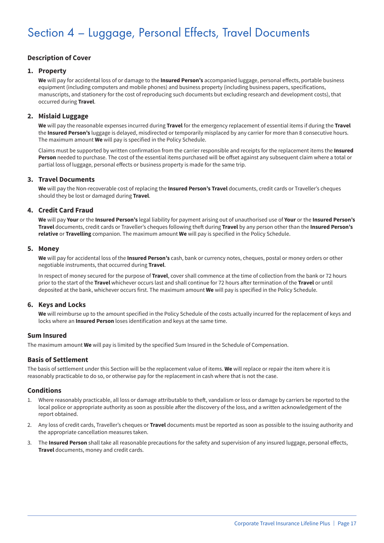## Section 4 – Luggage, Personal Effects, Travel Documents

#### **Description of Cover**

#### **1. Property**

**We** will pay for accidental loss of or damage to the **Insured Person's** accompanied luggage, personal effects, portable business equipment (including computers and mobile phones) and business property (including business papers, specifications, manuscripts, and stationery for the cost of reproducing such documents but excluding research and development costs), that occurred during **Travel**.

#### **2. Mislaid Luggage**

**We** will pay the reasonable expenses incurred during **Travel** for the emergency replacement of essential items if during the **Travel** the **Insured Person's** luggage is delayed, misdirected or temporarily misplaced by any carrier for more than 8 consecutive hours. The maximum amount **We** will pay is specified in the Policy Schedule.

Claims must be supported by written confirmation from the carrier responsible and receipts for the replacement items the **Insured Person** needed to purchase. The cost of the essential items purchased will be offset against any subsequent claim where a total or partial loss of luggage, personal effects or business property is made for the same trip.

#### **3. Travel Documents**

**We** will pay the Non-recoverable cost of replacing the **Insured Person's Travel** documents, credit cards or Traveller's cheques should they be lost or damaged during **Travel**.

#### **4. Credit Card Fraud**

**We** will pay **Your** or the **Insured Person's** legal liability for payment arising out of unauthorised use of **Your** or the **Insured Person's Travel** documents, credit cards or Traveller's cheques following theft during **Travel** by any person other than the **Insured Person's relative** or **Travelling** companion. The maximum amount **We** will pay is specified in the Policy Schedule.

#### **5. Money**

**We** will pay for accidental loss of the **Insured Person's** cash, bank or currency notes, cheques, postal or money orders or other negotiable instruments, that occurred during **Travel**.

In respect of money secured for the purpose of **Travel**, cover shall commence at the time of collection from the bank or 72 hours prior to the start of the **Travel** whichever occurs last and shall continue for 72 hours after termination of the **Travel** or until deposited at the bank, whichever occurs first. The maximum amount **We** will pay is specified in the Policy Schedule.

#### **6. Keys and Locks**

**We** will reimburse up to the amount specified in the Policy Schedule of the costs actually incurred for the replacement of keys and locks where an **Insured Person** loses identification and keys at the same time.

#### **Sum Insured**

The maximum amount **We** will pay is limited by the specified Sum Insured in the Schedule of Compensation.

#### **Basis of Settlement**

The basis of settlement under this Section will be the replacement value of items. **We** will replace or repair the item where it is reasonably practicable to do so, or otherwise pay for the replacement in cash where that is not the case.

#### **Conditions**

- 1. Where reasonably practicable, all loss or damage attributable to theft, vandalism or loss or damage by carriers be reported to the local police or appropriate authority as soon as possible after the discovery of the loss, and a written acknowledgement of the report obtained.
- 2. Any loss of credit cards, Traveller's cheques or **Travel** documents must be reported as soon as possible to the issuing authority and the appropriate cancellation measures taken.
- 3. The **Insured Person** shall take all reasonable precautions for the safety and supervision of any insured luggage, personal effects, **Travel** documents, money and credit cards.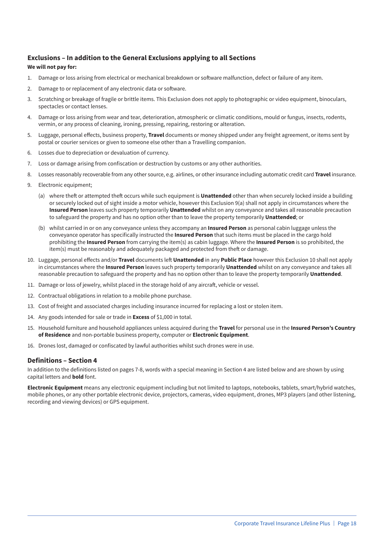#### **Exclusions – In addition to the General Exclusions applying to all Sections**

#### **We will not pay for:**

- 1. Damage or loss arising from electrical or mechanical breakdown or software malfunction, defect or failure of any item.
- 2. Damage to or replacement of any electronic data or software.
- 3. Scratching or breakage of fragile or brittle items. This Exclusion does not apply to photographic or video equipment, binoculars, spectacles or contact lenses.
- 4. Damage or loss arising from wear and tear, deterioration, atmospheric or climatic conditions, mould or fungus, insects, rodents, vermin, or any process of cleaning, ironing, pressing, repairing, restoring or alteration.
- 5. Luggage, personal effects, business property, **Travel** documents or money shipped under any freight agreement, or items sent by postal or courier services or given to someone else other than a Travelling companion.
- 6. Losses due to depreciation or devaluation of currency.
- 7. Loss or damage arising from confiscation or destruction by customs or any other authorities.
- 8. Losses reasonably recoverable from any other source, e.g. airlines, or other insurance including automatic credit card **Travel** insurance.
- 9. Electronic equipment;
	- (a) where theft or attempted theft occurs while such equipment is **Unattended** other than when securely locked inside a building or securely locked out of sight inside a motor vehicle, however this Exclusion 9(a) shall not apply in circumstances where the **Insured Person** leaves such property temporarily **Unattended** whilst on any conveyance and takes all reasonable precaution to safeguard the property and has no option other than to leave the property temporarily **Unattended**; or
	- (b) whilst carried in or on any conveyance unless they accompany an **Insured Person** as personal cabin luggage unless the conveyance operator has specifically instructed the **Insured Person** that such items must be placed in the cargo hold prohibiting the **Insured Person** from carrying the item(s) as cabin luggage. Where the **Insured Person** is so prohibited, the item(s) must be reasonably and adequately packaged and protected from theft or damage.
- 10. Luggage, personal effects and/or **Travel** documents left **Unattended** in any **Public Place** however this Exclusion 10 shall not apply in circumstances where the **Insured Person** leaves such property temporarily **Unattended** whilst on any conveyance and takes all reasonable precaution to safeguard the property and has no option other than to leave the property temporarily **Unattended**.
- 11. Damage or loss of jewelry, whilst placed in the storage hold of any aircraft, vehicle or vessel.
- 12. Contractual obligations in relation to a mobile phone purchase.
- 13. Cost of freight and associated charges including insurance incurred for replacing a lost or stolen item.
- 14. Any goods intended for sale or trade in **Excess** of \$1,000 in total.
- 15. Household furniture and household appliances unless acquired during the **Travel** for personal use in the **Insured Person's Country of Residence** and non-portable business property, computer or **Electronic Equipment**.
- 16. Drones lost, damaged or confiscated by lawful authorities whilst such drones were in use.

#### **Definitions – Section 4**

In addition to the definitions listed on pages 7-8, words with a special meaning in Section 4 are listed below and are shown by using capital letters and **bold** font.

**Electronic Equipment** means any electronic equipment including but not limited to laptops, notebooks, tablets, smart/hybrid watches, mobile phones, or any other portable electronic device, projectors, cameras, video equipment, drones, MP3 players (and other listening, recording and viewing devices) or GPS equipment.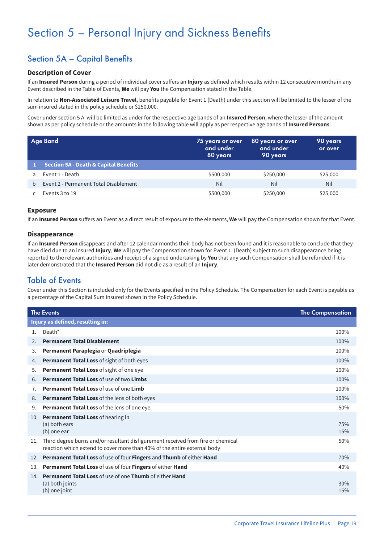## Section 5 – Personal Injury and Sickness Benefits

## Section 5A – Capital Benefits

#### **Description of Cover**

If an **Insured Person** during a period of individual cover suffers an **Injury** as defined which results within 12 consecutive months in any Event described in the Table of Events, **We** will pay **You** the Compensation stated in the Table.

In relation to **Non-Associated Leisure Travel**, benefits payable for Event 1 (Death) under this section will be limited to the lesser of the sum insured stated in the policy schedule or \$250,000.

Cover under section 5 A will be limited as under for the respective age bands of an **Insured Person**, where the lesser of the amount shown as per policy schedule or the amounts in the following table will apply as per respective age bands of **Insured Persons**:

|              | <b>Age Band</b>                                  | 75 years or over<br>and under<br>80 years | 80 years or over<br>and under<br>90 years | '90 years j<br>or over |
|--------------|--------------------------------------------------|-------------------------------------------|-------------------------------------------|------------------------|
|              | <b>Section 5A - Death &amp; Capital Benefits</b> |                                           |                                           |                        |
| a            | Event 1 - Death                                  | \$500,000                                 | \$250,000                                 | \$25,000               |
| <sub>b</sub> | Event 2 - Permanent Total Disablement            | Nil                                       | Nil                                       | Nil                    |
|              | Events 3 to 19                                   | \$500,000                                 | \$250,000                                 | \$25,000               |

#### **Exposure**

If an **Insured Person** suffers an Event as a direct result of exposure to the elements, **We** will pay the Compensation shown for that Event.

#### **Disappearance**

If an **Insured Person** disappears and after 12 calendar months their body has not been found and it is reasonable to conclude that they have died due to an insured **Injury**, **We** will pay the Compensation shown for Event 1. (Death) subject to such disappearance being reported to the relevant authorities and receipt of a signed undertaking by **You** that any such Compensation shall be refunded if it is later demonstrated that the **Insured Person** did not die as a result of an **Injury**.

### Table of Events

Cover under this Section is included only for the Events specified in the Policy Schedule. The Compensation for each Event is payable as a percentage of the Capital Sum Insured shown in the Policy Schedule.

|             | <b>The Events</b>                                                                                                                                            | <b>The Compensation</b> |  |  |  |
|-------------|--------------------------------------------------------------------------------------------------------------------------------------------------------------|-------------------------|--|--|--|
|             | Injury as defined, resulting in:                                                                                                                             |                         |  |  |  |
| $1_{\cdot}$ | Death*                                                                                                                                                       | 100%                    |  |  |  |
| 2.          | <b>Permanent Total Disablement</b>                                                                                                                           | 100%                    |  |  |  |
| 3.          | Permanent Paraplegia or Quadriplegia                                                                                                                         | 100%                    |  |  |  |
| 4.          | <b>Permanent Total Loss</b> of sight of both eyes                                                                                                            | 100%                    |  |  |  |
| 5.          | Permanent Total Loss of sight of one eye                                                                                                                     | 100%                    |  |  |  |
| 6.          | <b>Permanent Total Loss of use of two Limbs</b>                                                                                                              | 100%                    |  |  |  |
| 7.          | <b>Permanent Total Loss of use of one Limb</b>                                                                                                               | 100%                    |  |  |  |
| 8.          | <b>Permanent Total Loss of the lens of both eyes</b>                                                                                                         | 100%                    |  |  |  |
| 9.          | Permanent Total Loss of the lens of one eye                                                                                                                  | 50%                     |  |  |  |
| 10.         | Permanent Total Loss of hearing in<br>(a) both ears<br>(b) one ear                                                                                           | 75%<br>15%              |  |  |  |
| 11.         | Third degree burns and/or resultant disfigurement received from fire or chemical<br>reaction which extend to cover more than 40% of the entire external body | 50%                     |  |  |  |
| 12.         | Permanent Total Loss of use of four Fingers and Thumb of either Hand                                                                                         | 70%                     |  |  |  |
| 13.         | Permanent Total Loss of use of four Fingers of either Hand                                                                                                   | 40%                     |  |  |  |
| 14.         | <b>Permanent Total Loss of use of one Thumb of either Hand</b><br>(a) both joints<br>(b) one joint                                                           | 30%<br>15%              |  |  |  |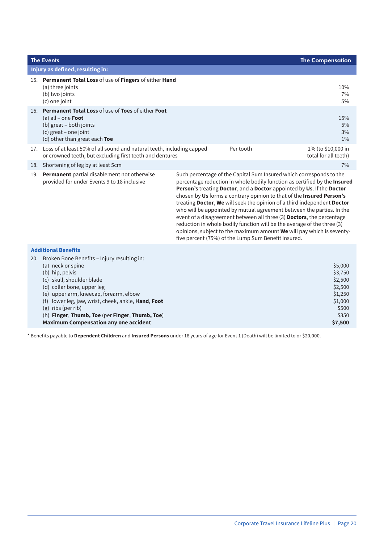| <b>The Events</b>                                                                                                                                                                                                                                                                                                                                                            |                                                                                                                                                                                                                                                                                                                                                                                                                                                                                                                                                                                                                                                                                                                                            | <b>The Compensation</b>                                                                     |
|------------------------------------------------------------------------------------------------------------------------------------------------------------------------------------------------------------------------------------------------------------------------------------------------------------------------------------------------------------------------------|--------------------------------------------------------------------------------------------------------------------------------------------------------------------------------------------------------------------------------------------------------------------------------------------------------------------------------------------------------------------------------------------------------------------------------------------------------------------------------------------------------------------------------------------------------------------------------------------------------------------------------------------------------------------------------------------------------------------------------------------|---------------------------------------------------------------------------------------------|
| Injury as defined, resulting in:                                                                                                                                                                                                                                                                                                                                             |                                                                                                                                                                                                                                                                                                                                                                                                                                                                                                                                                                                                                                                                                                                                            |                                                                                             |
| 15. Permanent Total Loss of use of Fingers of either Hand<br>(a) three joints<br>(b) two joints<br>(c) one joint                                                                                                                                                                                                                                                             |                                                                                                                                                                                                                                                                                                                                                                                                                                                                                                                                                                                                                                                                                                                                            | 10%<br>7%<br>5%                                                                             |
| 16. Permanent Total Loss of use of Toes of either Foot<br>(a) all – one <b>Foot</b><br>(b) great - both joints<br>(c) great - one joint<br>(d) other than great each Toe                                                                                                                                                                                                     |                                                                                                                                                                                                                                                                                                                                                                                                                                                                                                                                                                                                                                                                                                                                            | 15%<br>5%<br>3%<br>1%                                                                       |
| 17. Loss of at least 50% of all sound and natural teeth, including capped<br>or crowned teeth, but excluding first teeth and dentures                                                                                                                                                                                                                                        | Per tooth                                                                                                                                                                                                                                                                                                                                                                                                                                                                                                                                                                                                                                                                                                                                  | 1% (to \$10,000 in<br>total for all teeth)                                                  |
| 18. Shortening of leg by at least 5cm                                                                                                                                                                                                                                                                                                                                        |                                                                                                                                                                                                                                                                                                                                                                                                                                                                                                                                                                                                                                                                                                                                            | 7%                                                                                          |
| 19. Permanent partial disablement not otherwise<br>provided for under Events 9 to 18 inclusive                                                                                                                                                                                                                                                                               | Such percentage of the Capital Sum Insured which corresponds to the<br>percentage reduction in whole bodily function as certified by the Insured<br>Person's treating Doctor, and a Doctor appointed by Us. If the Doctor<br>chosen by Us forms a contrary opinion to that of the Insured Person's<br>treating Doctor, We will seek the opinion of a third independent Doctor<br>who will be appointed by mutual agreement between the parties. In the<br>event of a disagreement between all three (3) Doctors, the percentage<br>reduction in whole bodily function will be the average of the three (3)<br>opinions, subject to the maximum amount We will pay which is seventy-<br>five percent (75%) of the Lump Sum Benefit insured. |                                                                                             |
| <b>Additional Benefits</b>                                                                                                                                                                                                                                                                                                                                                   |                                                                                                                                                                                                                                                                                                                                                                                                                                                                                                                                                                                                                                                                                                                                            |                                                                                             |
| 20. Broken Bone Benefits - Injury resulting in:<br>(a) neck or spine<br>(b) hip, pelvis<br>(c) skull, shoulder blade<br>(d) collar bone, upper leg<br>(e) upper arm, kneecap, forearm, elbow<br>(f) lower leg, jaw, wrist, cheek, ankle, Hand, Foot<br>(g) ribs (per rib)<br>(h) Finger, Thumb, Toe (per Finger, Thumb, Toe)<br><b>Maximum Compensation any one accident</b> |                                                                                                                                                                                                                                                                                                                                                                                                                                                                                                                                                                                                                                                                                                                                            | \$5,000<br>\$3,750<br>\$2,500<br>\$2,500<br>\$1,250<br>\$1,000<br>\$500<br>\$350<br>\$7,500 |

\* Benefits payable to **Dependent Children** and **Insured Persons** under 18 years of age for Event 1 (Death) will be limited to or \$20,000.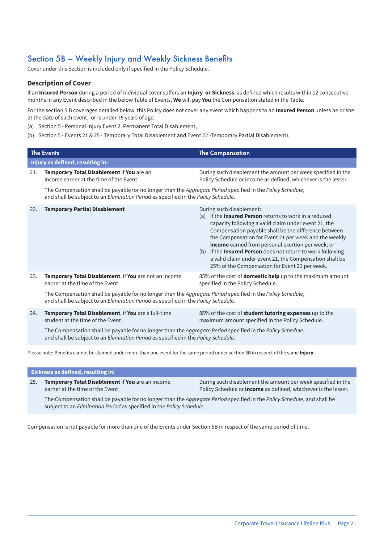## Section 5B – Weekly Injury and Weekly Sickness Benefits

Cover under this Section is included only if specified in the Policy Schedule.

#### **Description of Cover**

If an **Insured Person** during a period of individual cover suffers an **Injury or Sickness** as defined which results within 12 consecutive months in any Event described in the below Table of Events, **We** will pay **You** the Compensation stated in the Table.

For the section 5 B coverages detailed below, this Policy does not cover any event which happens to an **Insured Person** unless he or she at the date of such event, or is under 75 years of age.

- (a) Section 5 Personal Injury Event 2. Permanent Total Disablement,
- (b) Section 5 Events 21 & 25 Temporary Total Disablement and Event 22 -Temporary Partial Disablement).

|     | <b>The Events</b>                                                                                                                                                                                                               | <b>The Compensation</b>                                                                                                                                                                                                                                                                                                                                                                                                                                                                                    |
|-----|---------------------------------------------------------------------------------------------------------------------------------------------------------------------------------------------------------------------------------|------------------------------------------------------------------------------------------------------------------------------------------------------------------------------------------------------------------------------------------------------------------------------------------------------------------------------------------------------------------------------------------------------------------------------------------------------------------------------------------------------------|
|     | Injury as defined, resulting in:                                                                                                                                                                                                |                                                                                                                                                                                                                                                                                                                                                                                                                                                                                                            |
| 21. | Temporary Total Disablement if You are an<br>income earner at the time of the Event                                                                                                                                             | During such disablement the amount per week specified in the<br>Policy Schedule or income as defined, whichever is the lesser.                                                                                                                                                                                                                                                                                                                                                                             |
|     | The Compensation shall be payable for no longer than the <i>Aggregate Period</i> specified in the <i>Policy Schedule</i> ,<br>and shall be subject to an <i>Elimination Period</i> as specified in the <i>Policy Schedule</i> . |                                                                                                                                                                                                                                                                                                                                                                                                                                                                                                            |
| 22. | <b>Temporary Partial Disablement</b>                                                                                                                                                                                            | During such disablement:<br>(a) if the <b>Insured Person</b> returns to work in a reduced<br>capacity following a valid claim under event 21, the<br>Compensation payable shall be the difference between<br>the Compensation for Event 21 per week and the weekly<br>income earned from personal exertion per week; or<br>(b) if the <b>Insured Person</b> does not return to work following<br>a valid claim under event 21, the Compensation shall be<br>25% of the Compensation for Event 21 per week. |
| 23. | Temporary Total Disablement, if You are not an income<br>earner at the time of the Event.                                                                                                                                       | 85% of the cost of <b>domestic help</b> up to the maximum amount<br>specified in the Policy Schedule.                                                                                                                                                                                                                                                                                                                                                                                                      |
|     | The Compensation shall be payable for no longer than the Aggregate Period specified in the Policy Schedule,<br>and shall be subject to an <i>Elimination Period</i> as specified in the <i>Policy Schedule</i> .                |                                                                                                                                                                                                                                                                                                                                                                                                                                                                                                            |
| 24. | Temporary Total Disablement, if You are a full-time                                                                                                                                                                             | 85% of the cost of <b>student tutoring expenses</b> up to the                                                                                                                                                                                                                                                                                                                                                                                                                                              |

student at the time of the Event. maximum amount specified in the Policy Schedule.

The Compensation shall be payable for no longer than the *Aggregate Period* specified in the *Policy Schedule*, and shall be subject to an *Elimination Period* as specified in the *Policy Schedule*.

Please note: Benefits cannot be claimed under more than one event for the same period under section 5B in respect of the same **Injury**.

| Sickness as defined, resulting in: |                                                                                                                                                                                                   |                                                                                                                                       |  |  |  |
|------------------------------------|---------------------------------------------------------------------------------------------------------------------------------------------------------------------------------------------------|---------------------------------------------------------------------------------------------------------------------------------------|--|--|--|
| 25.                                | <b>Temporary Total Disablement if You</b> are an income<br>earner at the time of the Event                                                                                                        | During such disablement the amount per week specified in the<br>Policy Schedule or <i>income</i> as defined, whichever is the lesser. |  |  |  |
|                                    | The Compensation shall be payable for no longer than the Aggregate Period specified in the Policy Schedule, and shall be<br>subject to an Elimination Period as specified in the Policy Schedule. |                                                                                                                                       |  |  |  |
|                                    |                                                                                                                                                                                                   |                                                                                                                                       |  |  |  |

Compensation is not payable for more than one of the Events under Section 5B in respect of the same period of time.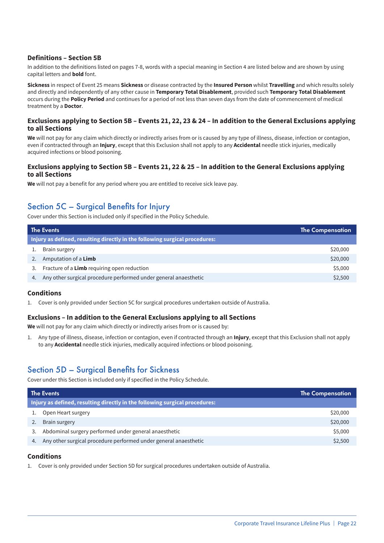#### **Definitions – Section 5B**

In addition to the definitions listed on pages 7-8, words with a special meaning in Section 4 are listed below and are shown by using capital letters and **bold** font.

**Sickness** in respect of Event 25 means **Sickness** or disease contracted by the **Insured Person** whilst **Travelling** and which results solely and directly and independently of any other cause in **Temporary Total Disablement**, provided such **Temporary Total Disablement** occurs during the **Policy Period** and continues for a period of not less than seven days from the date of commencement of medical treatment by a **Doctor**.

#### **Exclusions applying to Section 5B – Events 21, 22, 23 & 24 – In addition to the General Exclusions applying to all Sections**

**We** will not pay for any claim which directly or indirectly arises from or is caused by any type of illness, disease, infection or contagion, even if contracted through an **Injury**, except that this Exclusion shall not apply to any **Accidental** needle stick injuries, medically acquired infections or blood poisoning.

#### **Exclusions applying to Section 5B – Events 21, 22 & 25 – In addition to the General Exclusions applying to all Sections**

**We** will not pay a benefit for any period where you are entitled to receive sick leave pay.

## Section 5C – Surgical Benefits for Injury

Cover under this Section is included only if specified in the Policy Schedule.

| <b>The Events</b>                                                           | <b>The Compensation</b> |  |  |
|-----------------------------------------------------------------------------|-------------------------|--|--|
| Injury as defined, resulting directly in the following surgical procedures: |                         |  |  |
| Brain surgery                                                               | \$20,000                |  |  |
| Amputation of a Limb                                                        | \$20,000                |  |  |
| Fracture of a Limb requiring open reduction                                 | \$5,000                 |  |  |
| Any other surgical procedure performed under general anaesthetic            | \$2,500                 |  |  |

#### **Conditions**

1. Cover is only provided under Section 5C for surgical procedures undertaken outside of Australia.

#### **Exclusions – In addition to the General Exclusions applying to all Sections**

**We** will not pay for any claim which directly or indirectly arises from or is caused by:

1. Any type of illness, disease, infection or contagion, even if contracted through an **Injury**, except that this Exclusion shall not apply to any **Accidental** needle stick injuries, medically acquired infections or blood poisoning.

### Section 5D – Surgical Benefits for Sickness

Cover under this Section is included only if specified in the Policy Schedule.

| The Events                                                                  | <b>The Compensation</b> |  |  |
|-----------------------------------------------------------------------------|-------------------------|--|--|
| Injury as defined, resulting directly in the following surgical procedures: |                         |  |  |
| Open Heart surgery                                                          | \$20,000                |  |  |
| <b>Brain surgery</b>                                                        | \$20,000                |  |  |
| Abdominal surgery performed under general anaesthetic<br>3.                 | \$5,000                 |  |  |
| Any other surgical procedure performed under general anaesthetic<br>4.      | \$2,500                 |  |  |

#### **Conditions**

1. Cover is only provided under Section 5D for surgical procedures undertaken outside of Australia.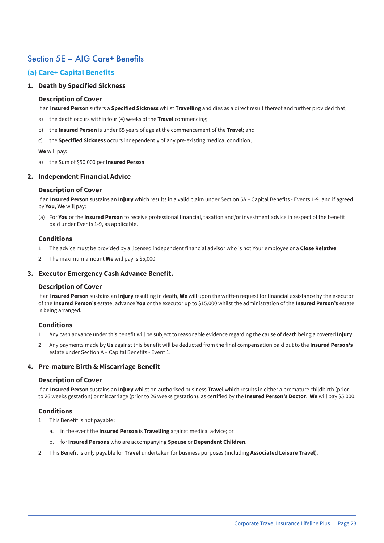## Section 5E – AIG Care+ Benefits

#### **(a) Care+ Capital Benefits**

#### **1. Death by Specified Sickness**

#### **Description of Cover**

If an **Insured Person** suffers a **Specified Sickness** whilst **Travelling** and dies as a direct result thereof and further provided that;

- a) the death occurs within four (4) weeks of the **Travel** commencing;
- b) the **Insured Person** is under 65 years of age at the commencement of the **Travel**; and
- c) the **Specified Sickness** occurs independently of any pre-existing medical condition,

#### **We** will pay:

a) the Sum of \$50,000 per **Insured Person**.

#### **2. Independent Financial Advice**

#### **Description of Cover**

If an **Insured Person** sustains an **Injury** which results in a valid claim under Section 5A – Capital Benefits - Events 1-9, and if agreed by **You**, **We** will pay:

(a) For **You** or the **Insured Person** to receive professional financial, taxation and/or investment advice in respect of the benefit paid under Events 1-9, as applicable.

#### **Conditions**

- 1. The advice must be provided by a licensed independent financial advisor who is not Your employee or a **Close Relative**.
- 2. The maximum amount **We** will pay is \$5,000.

#### **3. Executor Emergency Cash Advance Benefit.**

#### **Description of Cover**

If an **Insured Person** sustains an **Injury** resulting in death, **We** will upon the written request for financial assistance by the executor of the **Insured Person's** estate, advance **You** or the executor up to \$15,000 whilst the administration of the **Insured Person's** estate is being arranged.

#### **Conditions**

- 1. Any cash advance under this benefit will be subject to reasonable evidence regarding the cause of death being a covered **Injury**.
- 2. Any payments made by **Us** against this benefit will be deducted from the final compensation paid out to the **Insured Person's** estate under Section A – Capital Benefits - Event 1.

#### **4. Pre-mature Birth & Miscarriage Benefit**

#### **Description of Cover**

If an **Insured Person** sustains an **Injury** whilst on authorised business **Travel** which results in either a premature childbirth (prior to 26 weeks gestation) or miscarriage (prior to 26 weeks gestation), as certified by the **Insured Person's Doctor**, **We** will pay \$5,000.

#### **Conditions**

- 1. This Benefit is not payable :
	- a. in the event the **Insured Person** is **Travelling** against medical advice; or
	- b. for **Insured Persons** who are accompanying **Spouse** or **Dependent Children**.
- 2. This Benefit is only payable for **Travel** undertaken for business purposes (including **Associated Leisure Travel**).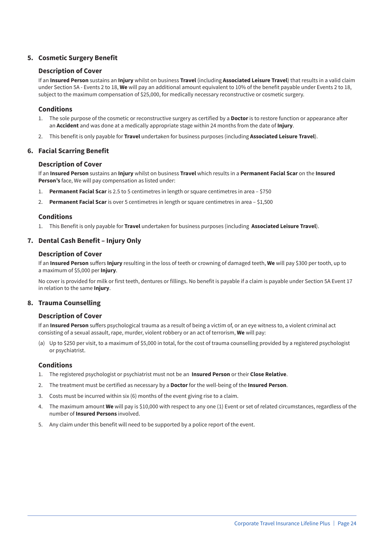#### **5. Cosmetic Surgery Benefit**

#### **Description of Cover**

If an **Insured Person** sustains an **Injury** whilst on business **Travel** (including **Associated Leisure Travel**) that results in a valid claim under Section 5A - Events 2 to 18, **We** will pay an additional amount equivalent to 10% of the benefit payable under Events 2 to 18, subject to the maximum compensation of \$25,000, for medically necessary reconstructive or cosmetic surgery.

#### **Conditions**

- 1. The sole purpose of the cosmetic or reconstructive surgery as certified by a **Doctor** is to restore function or appearance after an **Accident** and was done at a medically appropriate stage within 24 months from the date of **Injury**.
- 2. This benefit is only payable for **Travel** undertaken for business purposes (including **Associated Leisure Travel**).

#### **6. Facial Scarring Benefit**

#### **Description of Cover**

If an **Insured Person** sustains an **Injury** whilst on business **Travel** which results in a **Permanent Facial Scar** on the **Insured Person's** face, We will pay compensation as listed under:

- 1. **Permanent Facial Scar** is 2.5 to 5 centimetres in length or square centimetres in area \$750
- 2. **Permanent Facial Scar** is over 5 centimetres in length or square centimetres in area \$1,500

#### **Conditions**

1. This Benefit is only payable for **Travel** undertaken for business purposes (including **Associated Leisure Travel**).

#### **7. Dental Cash Benefit – Injury Only**

#### **Description of Cover**

If an **Insured Person** suffers **Injury** resulting in the loss of teeth or crowning of damaged teeth, **We** will pay \$300 per tooth, up to a maximum of \$5,000 per **Injury**.

No cover is provided for milk or first teeth, dentures or fillings. No benefit is payable if a claim is payable under Section 5A Event 17 in relation to the same **Injury**.

#### **8. Trauma Counselling**

#### **Description of Cover**

If an **Insured Person** suffers psychological trauma as a result of being a victim of, or an eye witness to, a violent criminal act consisting of a sexual assault, rape, murder, violent robbery or an act of terrorism, **We** will pay:

(a) Up to \$250 per visit, to a maximum of \$5,000 in total, for the cost of trauma counselling provided by a registered psychologist or psychiatrist.

#### **Conditions**

- 1. The registered psychologist or psychiatrist must not be an **Insured Person** or their **Close Relative**.
- 2. The treatment must be certified as necessary by a **Doctor** for the well-being of the **Insured Person**.
- 3. Costs must be incurred within six (6) months of the event giving rise to a claim.
- 4. The maximum amount **We** will pay is \$10,000 with respect to any one (1) Event or set of related circumstances, regardless of the number of **Insured Persons** involved.
- 5. Any claim under this benefit will need to be supported by a police report of the event.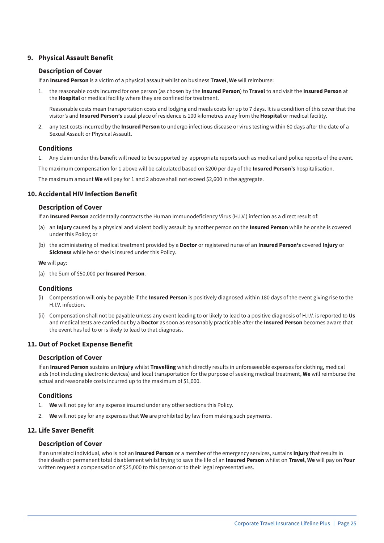#### **9. Physical Assault Benefit**

#### **Description of Cover**

If an **Insured Person** is a victim of a physical assault whilst on business **Travel**, **We** will reimburse:

1. the reasonable costs incurred for one person (as chosen by the **Insured Person**) to **Travel** to and visit the **Insured Person** at the **Hospital** or medical facility where they are confined for treatment.

Reasonable costs mean transportation costs and lodging and meals costs for up to 7 days. It is a condition of this cover that the visitor's and **Insured Person's** usual place of residence is 100 kilometres away from the **Hospital** or medical facility.

2. any test costs incurred by the **Insured Person** to undergo infectious disease or virus testing within 60 days after the date of a Sexual Assault or Physical Assault.

#### **Conditions**

1. Any claim under this benefit will need to be supported by appropriate reports such as medical and police reports of the event.

The maximum compensation for 1 above will be calculated based on \$200 per day of the **Insured Person's** hospitalisation.

The maximum amount **We** will pay for 1 and 2 above shall not exceed \$2,600 in the aggregate.

#### **10. Accidental HIV Infection Benefit**

#### **Description of Cover**

If an **Insured Person** accidentally contracts the Human Immunodeficiency Virus (H.I.V.) infection as a direct result of:

- (a) an **Injury** caused by a physical and violent bodily assault by another person on the **Insured Person** while he or she is covered under this Policy; or
- (b) the administering of medical treatment provided by a **Doctor** or registered nurse of an **Insured Person's** covered **Injury** or **Sickness** while he or she is insured under this Policy.

**We** will pay:

(a) the Sum of \$50,000 per **Insured Person**.

#### **Conditions**

- (i) Compensation will only be payable if the **Insured Person** is positively diagnosed within 180 days of the event giving rise to the H.I.V. infection.
- (ii) Compensation shall not be payable unless any event leading to or likely to lead to a positive diagnosis of H.I.V. is reported to **Us** and medical tests are carried out by a **Doctor** as soon as reasonably practicable after the **Insured Person** becomes aware that the event has led to or is likely to lead to that diagnosis.

#### **11. Out of Pocket Expense Benefit**

#### **Description of Cover**

If an **Insured Person** sustains an **Injury** whilst **Travelling** which directly results in unforeseeable expenses for clothing, medical aids (not including electronic devices) and local transportation for the purpose of seeking medical treatment, **We** will reimburse the actual and reasonable costs incurred up to the maximum of \$1,000.

#### **Conditions**

- 1. **We** will not pay for any expense insured under any other sections this Policy.
- 2. **We** will not pay for any expenses that **We** are prohibited by law from making such payments.

#### **12. Life Saver Benefit**

#### **Description of Cover**

If an unrelated individual, who is not an **Insured Person** or a member of the emergency services, sustains **Injury** that results in their death or permanent total disablement whilst trying to save the life of an **Insured Person** whilst on **Travel**, **We** will pay on **Your** written request a compensation of \$25,000 to this person or to their legal representatives.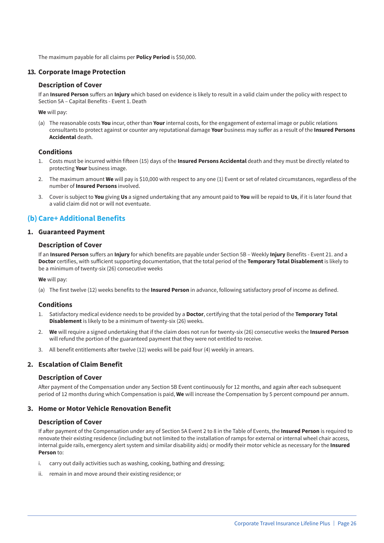The maximum payable for all claims per **Policy Period** is \$50,000.

#### **13. Corporate Image Protection**

#### **Description of Cover**

If an **Insured Person** suffers an **Injury** which based on evidence is likely to result in a valid claim under the policy with respect to Section 5A – Capital Benefits - Event 1. Death

**We** will pay:

(a) The reasonable costs **You** incur, other than **Your** internal costs, for the engagement of external image or public relations consultants to protect against or counter any reputational damage **Your** business may suffer as a result of the **Insured Persons Accidental** death.

#### **Conditions**

- 1. Costs must be incurred within fifteen (15) days of the **Insured Persons Accidental** death and they must be directly related to protecting **Your** business image.
- 2. The maximum amount **We** will pay is \$10,000 with respect to any one (1) Event or set of related circumstances, regardless of the number of **Insured Persons** involved.
- 3. Cover is subject to **You** giving **Us** a signed undertaking that any amount paid to **You** will be repaid to **Us**, if it is later found that a valid claim did not or will not eventuate.

#### **(b) Care+ Additional Benefits**

#### **1. Guaranteed Payment**

#### **Description of Cover**

If an **Insured Person** suffers an **Injury** for which benefits are payable under Section 5B – Weekly **Injury** Benefits - Event 21. and a **Doctor** certifies, with sufficient supporting documentation, that the total period of the **Temporary Total Disablement** is likely to be a minimum of twenty-six (26) consecutive weeks

**We** will pay:

(a) The first twelve (12) weeks benefits to the **Insured Person** in advance, following satisfactory proof of income as defined.

#### **Conditions**

- 1. Satisfactory medical evidence needs to be provided by a **Doctor**, certifying that the total period of the **Temporary Total Disablement** is likely to be a minimum of twenty-six (26) weeks.
- 2. **We** will require a signed undertaking that if the claim does not run for twenty-six (26) consecutive weeks the **Insured Person** will refund the portion of the guaranteed payment that they were not entitled to receive.
- 3. All benefit entitlements after twelve (12) weeks will be paid four (4) weekly in arrears.

#### **2. Escalation of Claim Benefit**

#### **Description of Cover**

After payment of the Compensation under any Section 5B Event continuously for 12 months, and again after each subsequent period of 12 months during which Compensation is paid, **We** will increase the Compensation by 5 percent compound per annum.

#### **3. Home or Motor Vehicle Renovation Benefit**

#### **Description of Cover**

If after payment of the Compensation under any of Section 5A Event 2 to 8 in the Table of Events, the **Insured Person** is required to renovate their existing residence (including but not limited to the installation of ramps for external or internal wheel chair access, internal guide rails, emergency alert system and similar disability aids) or modify their motor vehicle as necessary for the **Insured Person** to:

- i. carry out daily activities such as washing, cooking, bathing and dressing;
- ii. remain in and move around their existing residence; or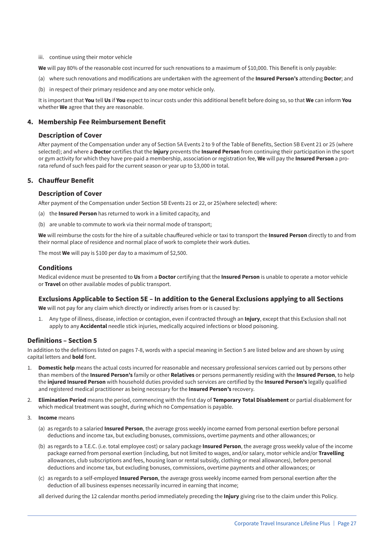#### iii. continue using their motor vehicle

**We** will pay 80% of the reasonable cost incurred for such renovations to a maximum of \$10,000. This Benefit is only payable:

- (a) where such renovations and modifications are undertaken with the agreement of the **Insured Person's** attending **Doctor**; and
- (b) in respect of their primary residence and any one motor vehicle only.

It is important that **You** tell **Us** if **You** expect to incur costs under this additional benefit before doing so, so that **We** can inform **You** whether **We** agree that they are reasonable.

#### **4. Membership Fee Reimbursement Benefit**

#### **Description of Cover**

After payment of the Compensation under any of Section 5A Events 2 to 9 of the Table of Benefits, Section 5B Event 21 or 25 (where selected); and where a **Doctor** certifies that the **Injury** prevents the **Insured Person** from continuing their participation in the sport or gym activity for which they have pre-paid a membership, association or registration fee, **We** will pay the **Insured Person** a prorata refund of such fees paid for the current season or year up to \$3,000 in total.

#### **5. Chauffeur Benefit**

#### **Description of Cover**

After payment of the Compensation under Section 5B Events 21 or 22, or 25(where selected) where:

- (a) the **Insured Person** has returned to work in a limited capacity, and
- (b) are unable to commute to work via their normal mode of transport;

**We** will reimburse the costs for the hire of a suitable chauffeured vehicle or taxi to transport the **Insured Person** directly to and from their normal place of residence and normal place of work to complete their work duties.

The most **We** will pay is \$100 per day to a maximum of \$2,500.

#### **Conditions**

Medical evidence must be presented to **Us** from a **Doctor** certifying that the **Insured Person** is unable to operate a motor vehicle or **Travel** on other available modes of public transport.

#### **Exclusions Applicable to Section 5E – In addition to the General Exclusions applying to all Sections**

**We** will not pay for any claim which directly or indirectly arises from or is caused by:

1. Any type of illness, disease, infection or contagion, even if contracted through an **Injury**, except that this Exclusion shall not apply to any **Accidental** needle stick injuries, medically acquired infections or blood poisoning.

#### **Definitions – Section 5**

In addition to the definitions listed on pages 7-8, words with a special meaning in Section 5 are listed below and are shown by using capital letters and **bold** font.

- 1. **Domestic help** means the actual costs incurred for reasonable and necessary professional services carried out by persons other than members of the **Insured Person's** family or other **Relatives** or persons permanently residing with the **Insured Person**, to help the **injured Insured Person** with household duties provided such services are certified by the **Insured Person's** legally qualified and registered medical practitioner as being necessary for the **Insured Person's** recovery.
- 2. **Elimination Period** means the period, commencing with the first day of **Temporary Total Disablement** or partial disablement for which medical treatment was sought, during which no Compensation is payable.
- 3. **Income** means
	- (a) as regards to a salaried **Insured Person**, the average gross weekly income earned from personal exertion before personal deductions and income tax, but excluding bonuses, commissions, overtime payments and other allowances; or
	- (b) as regards to a T.E.C. (i.e. total employee cost) or salary package **Insured Person**, the average gross weekly value of the income package earned from personal exertion (including, but not limited to wages, and/or salary, motor vehicle and/or **Travelling** allowances, club subscriptions and fees, housing loan or rental subsidy, clothing or meal allowances), before personal deductions and income tax, but excluding bonuses, commissions, overtime payments and other allowances; or
	- (c) as regards to a self-employed **Insured Person**, the average gross weekly income earned from personal exertion after the deduction of all business expenses necessarily incurred in earning that income;

all derived during the 12 calendar months period immediately preceding the **Injury** giving rise to the claim under this Policy.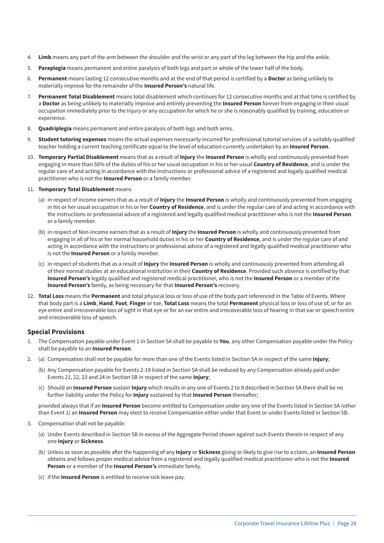- 4. **Limb** means any part of the arm between the shoulder and the wrist or any part of the leg between the hip and the ankle.
- 5. **Paraplegia** means permanent and entire paralysis of both legs and part or whole of the lower half of the body.
- 6. **Permanent** means lasting 12 consecutive months and at the end of that period is certified by a **Doctor** as being unlikely to materially improve for the remainder of the **Insured Person's** natural life.
- 7. **Permanent Total Disablement** means total disablement which continues for 12 consecutive months and at that time is certified by a **Doctor** as being unlikely to materially improve and entirely preventing the **Insured Person** forever from engaging in their usual occupation immediately prior to the Injury or any occupation for which he or she is reasonably qualified by training, education or experience.
- 8. **Quadriplegia** means permanent and entire paralysis of both legs and both arms.
- 9. **Student tutoring expenses** means the actual expenses necessarily incurred for professional tutorial services of a suitably qualified teacher holding a current teaching certificate equal to the level of education currently undertaken by an **Insured Person**.
- 10. **Temporary Partial Disablement** means that as a result of **Injury** the **Insured Person** is wholly and continuously prevented from engaging in more than 50% of the duties of his or her usual occupation in his or her usual **Country of Residence**, and is under the regular care of and acting in accordance with the instructions or professional advice of a registered and legally qualified medical practitioner who is not the **Insured Person** or a family member.

#### 11. **Temporary Total Disablement** means

- (a) in respect of income earners that as a result of **Injury** the **Insured Person** is wholly and continuously prevented from engaging in his or her usual occupation in his or her **Country of Residence**, and is under the regular care of and acting in accordance with the instructions or professional advice of a registered and legally qualified medical practitioner who is not the **Insured Person** or a family member.
- (b) in respect of Non-income earners that as a result of **Injury** the **Insured Person** is wholly and continuously prevented from engaging in all of his or her normal household duties in his or her **Country of Residence**, and is under the regular care of and acting in accordance with the instructions or professional advice of a registered and legally qualified medical practitioner who is not the **Insured Person** or a family member.
- (c) in respect of students that as a result of **Injury** the **Insured Person** is wholly and continuously prevented from attending all of their normal studies at an educational institution in their **Country of Residence**. Provided such absence is certified by that **Insured Person's** legally qualified and registered medical practitioner, who is not the **Insured Person** or a member of the **Insured Person's** family, as being necessary for that **Insured Person's** recovery.
- 12. **Total Loss** means the **Permanent** and total physical loss or loss of use of the body part referenced in the Table of Events. Where that body part is a **Limb**, **Hand**, **Foot**, **Finger** or toe, **Total Loss** means the total **Permanent** physical loss or loss of use of, or for an eye entire and irrecoverable loss of sight in that eye or for an ear entire and irrecoverable loss of hearing in that ear or speech entire and irrecoverable loss of speech.

#### **Special Provisions**

- 1. The Compensation payable under Event 1 in Section 5A shall be payable to **You**, any other Compensation payable under the Policy shall be payable to an **Insured Person**.
- 2. (a) Compensation shall not be payable for more than one of the Events listed in Section 5A in respect of the same **Injury**;
	- (b) Any Compensation payable for Events 2-19 listed in Section 5A shall be reduced by any Compensation already paid under Events 21, 22, 23 and 24 in Section 5B in respect of the same **Injury**;
	- (c) Should an **Insured Person** sustain **Injury** which results in any one of Events 2 to 8 described in Section 5A there shall be no further liability under the Policy for **Injury** sustained by that **Insured Person** thereafter;

provided always that if an **Insured Person** become entitled to Compensation under any one of the Events listed in Section 5A (other than Event 1) an **Insured Person** may elect to receive Compensation either under that Event or under Events listed in Section 5B.

- 3. Compensation shall not be payable:
	- (a) Under Events described in Section 5B in excess of the Aggregate Period shown against such Events therein in respect of any one **Injury** or **Sickness**.
	- (b) Unless as soon as possible after the happening of any **Injury** or **Sickness** giving or likely to give rise to a claim, an **Insured Person** obtains and follows proper medical advice from a registered and legally qualified medical practitioner who is not the **Insured Person** or a member of the **Insured Person's** immediate family.
	- (c) if the **Insured Person** is entitled to receive sick leave pay.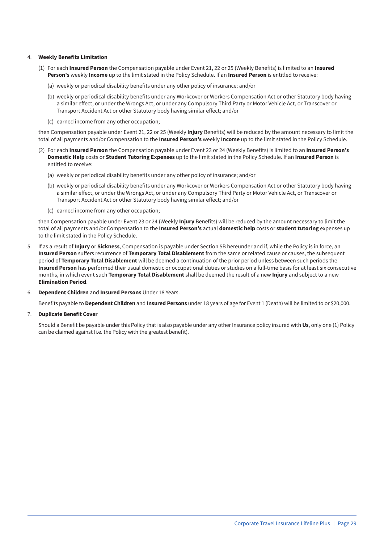#### 4. **Weekly Benefits Limitation**

- (1) For each **Insured Person** the Compensation payable under Event 21, 22 or 25 (Weekly Benefits) is limited to an **Insured Person's** weekly **Income** up to the limit stated in the Policy Schedule. If an **Insured Person** is entitled to receive:
	- (a) weekly or periodical disability benefits under any other policy of insurance; and/or
	- (b) weekly or periodical disability benefits under any Workcover or Workers Compensation Act or other Statutory body having a similar effect, or under the Wrongs Act, or under any Compulsory Third Party or Motor Vehicle Act, or Transcover or Transport Accident Act or other Statutory body having similar effect; and/or
	- (c) earned income from any other occupation;

then Compensation payable under Event 21, 22 or 25 (Weekly **Injury** Benefits) will be reduced by the amount necessary to limit the total of all payments and/or Compensation to the **Insured Person's** weekly **Income** up to the limit stated in the Policy Schedule.

- (2) For each **Insured Person** the Compensation payable under Event 23 or 24 (Weekly Benefits) is limited to an **Insured Person's Domestic Help** costs or **Student Tutoring Expenses** up to the limit stated in the Policy Schedule. If an **Insured Person** is entitled to receive:
	- (a) weekly or periodical disability benefits under any other policy of insurance; and/or
	- (b) weekly or periodical disability benefits under any Workcover or Workers Compensation Act or other Statutory body having a similar effect, or under the Wrongs Act, or under any Compulsory Third Party or Motor Vehicle Act, or Transcover or Transport Accident Act or other Statutory body having similar effect; and/or
	- (c) earned income from any other occupation;

then Compensation payable under Event 23 or 24 (Weekly **Injury** Benefits) will be reduced by the amount necessary to limit the total of all payments and/or Compensation to the **Insured Person's** actual **domestic help** costs or **student tutoring** expenses up to the limit stated in the Policy Schedule.

- 5. If as a result of **Injury** or **Sickness**, Compensation is payable under Section 5B hereunder and if, while the Policy is in force, an **Insured Person** suffers recurrence of **Temporary Total Disablement** from the same or related cause or causes, the subsequent period of **Temporary Total Disablement** will be deemed a continuation of the prior period unless between such periods the **Insured Person** has performed their usual domestic or occupational duties or studies on a full-time basis for at least six consecutive months, in which event such **Temporary Total Disablement** shall be deemed the result of a new **Injury** and subject to a new **Elimination Period**.
- 6. **Dependent Children** and **Insured Persons** Under 18 Years.

Benefits payable to **Dependent Children** and **Insured Persons** under 18 years of age for Event 1 (Death) will be limited to or \$20,000.

7. **Duplicate Benefit Cover**

Should a Benefit be payable under this Policy that is also payable under any other Insurance policy insured with **Us**, only one (1) Policy can be claimed against (i.e. the Policy with the greatest benefit).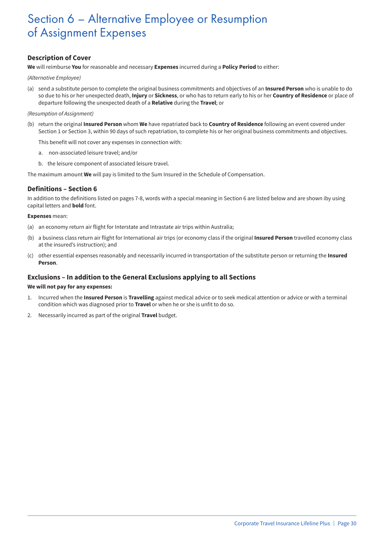## Section 6 – Alternative Employee or Resumption of Assignment Expenses

#### **Description of Cover**

**We** will reimburse **You** for reasonable and necessary **Expenses** incurred during a **Policy Period** to either:

*(Alternative Employee)*

(a) send a substitute person to complete the original business commitments and objectives of an **Insured Person** who is unable to do so due to his or her unexpected death, **Injury** or **Sickness**, or who has to return early to his or her **Country of Residence** or place of departure following the unexpected death of a **Relative** during the **Travel**; or

#### *(Resumption of Assignment)*

(b) return the original **Insured Person** whom **We** have repatriated back to **Country of Residence** following an event covered under Section 1 or Section 3, within 90 days of such repatriation, to complete his or her original business commitments and objectives.

This benefit will not cover any expenses in connection with:

- a. non-associated leisure travel; and/or
- b. the leisure component of associated leisure travel.

The maximum amount **We** will pay is limited to the Sum Insured in the Schedule of Compensation.

#### **Definitions – Section 6**

In addition to the definitions listed on pages 7-8, words with a special meaning in Section 6 are listed below and are shown iby using capital letters and **bold** font.

#### **Expenses** mean:

- (a) an economy return air flight for Interstate and Intrastate air trips within Australia;
- (b) a business class return air flight for International air trips (or economy class if the original **Insured Person** travelled economy class at the insured's instruction); and
- (c) other essential expenses reasonably and necessarily incurred in transportation of the substitute person or returning the **Insured Person**.

#### **Exclusions – In addition to the General Exclusions applying to all Sections**

#### **We will not pay for any expenses:**

- 1. Incurred when the **Insured Person** is **Travelling** against medical advice or to seek medical attention or advice or with a terminal condition which was diagnosed prior to **Travel** or when he or she is unfit to do so.
- 2. Necessarily incurred as part of the original **Travel** budget.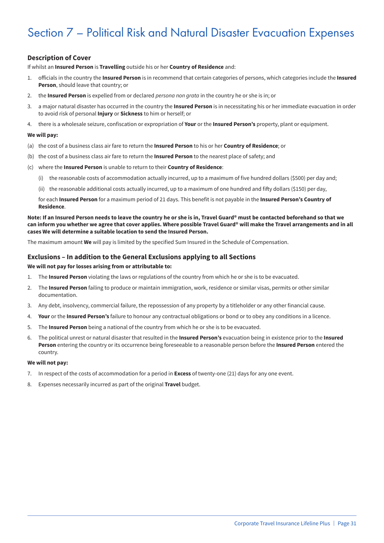## Section 7 – Political Risk and Natural Disaster Evacuation Expenses

#### **Description of Cover**

If whilst an **Insured Person** is **Travelling** outside his or her **Country of Residence** and:

- 1. officials in the country the **Insured Person** is in recommend that certain categories of persons, which categories include the **Insured Person**, should leave that country; or
- 2. the **Insured Person** is expelled from or declared *persona non grata* in the country he or she is in; or
- 3. a major natural disaster has occurred in the country the **Insured Person** is in necessitating his or her immediate evacuation in order to avoid risk of personal **Injury** or **Sickness** to him or herself; or
- 4. there is a wholesale seizure, confiscation or expropriation of **Your** or the **Insured Person's** property, plant or equipment.

#### **We will pay:**

- (a) the cost of a business class air fare to return the **Insured Person** to his or her **Country of Residence**; or
- (b) the cost of a business class air fare to return the **Insured Person** to the nearest place of safety; and
- (c) where the **Insured Person** is unable to return to their **Country of Residence**:
	- (i) the reasonable costs of accommodation actually incurred, up to a maximum of five hundred dollars (\$500) per day and;
	- (ii) the reasonable additional costs actually incurred, up to a maximum of one hundred and fifty dollars (\$150) per day,

for each **Insured Person** for a maximum period of 21 days. This benefit is not payable in the **Insured Person's Country of Residence**.

**Note: If an Insured Person needs to leave the country he or she is in, Travel Guard® must be contacted beforehand so that we can inform you whether we agree that cover applies. Where possible Travel Guard® will make the Travel arrangements and in all cases We will determine a suitable location to send the Insured Person.**

The maximum amount **We** will pay is limited by the specified Sum Insured in the Schedule of Compensation.

#### **Exclusions – In addition to the General Exclusions applying to all Sections**

#### **We will not pay for losses arising from or attributable to:**

- 1. The **Insured Person** violating the laws or regulations of the country from which he or she is to be evacuated.
- 2. The **Insured Person** failing to produce or maintain immigration, work, residence or similar visas, permits or other similar documentation.
- 3. Any debt, insolvency, commercial failure, the repossession of any property by a titleholder or any other financial cause.
- 4. **Your** or the **Insured Person's** failure to honour any contractual obligations or bond or to obey any conditions in a licence.
- 5. The **Insured Person** being a national of the country from which he or she is to be evacuated.
- 6. The political unrest or natural disaster that resulted in the **Insured Person's** evacuation being in existence prior to the **Insured Person** entering the country or its occurrence being foreseeable to a reasonable person before the **Insured Person** entered the country.

#### **We will not pay:**

- 7. In respect of the costs of accommodation for a period in **Excess** of twenty-one (21) days for any one event.
- 8. Expenses necessarily incurred as part of the original **Travel** budget.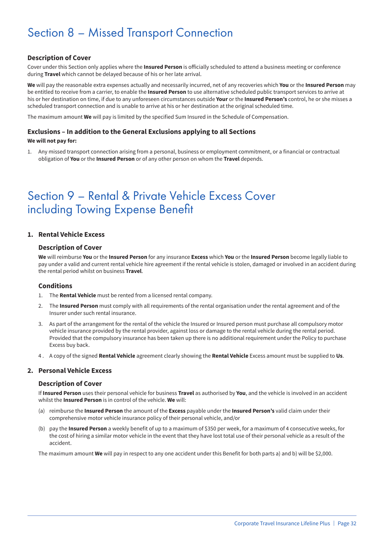## Section 8 – Missed Transport Connection

#### **Description of Cover**

Cover under this Section only applies where the **Insured Person** is officially scheduled to attend a business meeting or conference during **Travel** which cannot be delayed because of his or her late arrival.

**We** will pay the reasonable extra expenses actually and necessarily incurred, net of any recoveries which **You** or the **Insured Person** may be entitled to receive from a carrier, to enable the **Insured Person** to use alternative scheduled public transport services to arrive at his or her destination on time, if due to any unforeseen circumstances outside **Your** or the **Insured Person's** control, he or she misses a scheduled transport connection and is unable to arrive at his or her destination at the original scheduled time.

The maximum amount **We** will pay is limited by the specified Sum Insured in the Schedule of Compensation.

#### **Exclusions – In addition to the General Exclusions applying to all Sections**

#### **We will not pay for:**

1. Any missed transport connection arising from a personal, business or employment commitment, or a financial or contractual obligation of **You** or the **Insured Person** or of any other person on whom the **Travel** depends.

## Section 9 – Rental & Private Vehicle Excess Cover including Towing Expense Benefit

#### **1. Rental Vehicle Excess**

#### **Description of Cover**

**We** will reimburse **You** or the **Insured Person** for any insurance **Excess** which **You** or the **Insured Person** become legally liable to pay under a valid and current rental vehicle hire agreement if the rental vehicle is stolen, damaged or involved in an accident during the rental period whilst on business **Travel**.

#### **Conditions**

- 1. The **Rental Vehicle** must be rented from a licensed rental company.
- 2. The **Insured Person** must comply with all requirements of the rental organisation under the rental agreement and of the Insurer under such rental insurance.
- 3. As part of the arrangement for the rental of the vehicle the Insured or Insured person must purchase all compulsory motor vehicle insurance provided by the rental provider, against loss or damage to the rental vehicle during the rental period. Provided that the compulsory insurance has been taken up there is no additional requirement under the Policy to purchase Excess buy back.
- 4 . A copy of the signed **Rental Vehicle** agreement clearly showing the **Rental Vehicle** Excess amount must be supplied to **Us**.

#### **2. Personal Vehicle Excess**

#### **Description of Cover**

If **Insured Person** uses their personal vehicle for business **Travel** as authorised by **You**, and the vehicle is involved in an accident whilst the **Insured Person** is in control of the vehicle. **We** will:

- (a) reimburse the **Insured Person** the amount of the **Excess** payable under the **Insured Person's** valid claim under their comprehensive motor vehicle insurance policy of their personal vehicle, and/or
- (b) pay the **Insured Person** a weekly benefit of up to a maximum of \$350 per week, for a maximum of 4 consecutive weeks, for the cost of hiring a similar motor vehicle in the event that they have lost total use of their personal vehicle as a result of the accident.

The maximum amount **We** will pay in respect to any one accident under this Benefit for both parts a) and b) will be \$2,000.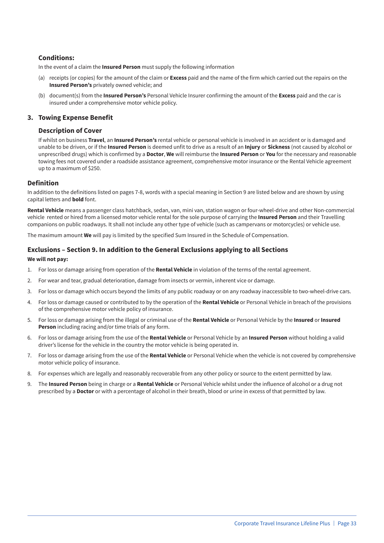#### **Conditions:**

In the event of a claim the **Insured Person** must supply the following information

- (a) receipts (or copies) for the amount of the claim or **Excess** paid and the name of the firm which carried out the repairs on the **Insured Person's** privately owned vehicle; and
- (b) document(s) from the **Insured Person's** Personal Vehicle Insurer confirming the amount of the **Excess** paid and the car is insured under a comprehensive motor vehicle policy.

#### **3. Towing Expense Benefit**

#### **Description of Cover**

If whilst on business **Travel**, an **Insured Person's** rental vehicle or personal vehicle is involved in an accident or is damaged and unable to be driven, or if the **Insured Person** is deemed unfit to drive as a result of an **Injury** or **Sickness** (not caused by alcohol or unprescribed drugs) which is confirmed by a **Doctor**, **We** will reimburse the **Insured Person** or **You** for the necessary and reasonable towing fees not covered under a roadside assistance agreement, comprehensive motor insurance or the Rental Vehicle agreement up to a maximum of \$250.

#### **Definition**

In addition to the definitions listed on pages 7-8, words with a special meaning in Section 9 are listed below and are shown by using capital letters and **bold** font.

**Rental Vehicle** means a passenger class hatchback, sedan, van, mini van, station wagon or four-wheel-drive and other Non-commercial vehicle rented or hired from a licensed motor vehicle rental for the sole purpose of carrying the **Insured Person** and their Travelling companions on public roadways. It shall not include any other type of vehicle (such as campervans or motorcycles) or vehicle use.

The maximum amount **We** will pay is limited by the specified Sum Insured in the Schedule of Compensation.

#### **Exclusions – Section 9. In addition to the General Exclusions applying to all Sections**

#### **We will not pay:**

- 1. For loss or damage arising from operation of the **Rental Vehicle** in violation of the terms of the rental agreement.
- 2. For wear and tear, gradual deterioration, damage from insects or vermin, inherent vice or damage.
- 3. For loss or damage which occurs beyond the limits of any public roadway or on any roadway inaccessible to two-wheel-drive cars.
- 4. For loss or damage caused or contributed to by the operation of the **Rental Vehicle** or Personal Vehicle in breach of the provisions of the comprehensive motor vehicle policy of insurance.
- 5. For loss or damage arising from the illegal or criminal use of the **Rental Vehicle** or Personal Vehicle by the **Insured** or **Insured Person** including racing and/or time trials of any form.
- 6. For loss or damage arising from the use of the **Rental Vehicle** or Personal Vehicle by an **Insured Person** without holding a valid driver's license for the vehicle in the country the motor vehicle is being operated in.
- 7. For loss or damage arising from the use of the **Rental Vehicle** or Personal Vehicle when the vehicle is not covered by comprehensive motor vehicle policy of insurance.
- 8. For expenses which are legally and reasonably recoverable from any other policy or source to the extent permitted by law.
- 9. The **Insured Person** being in charge or a **Rental Vehicle** or Personal Vehicle whilst under the influence of alcohol or a drug not prescribed by a **Doctor** or with a percentage of alcohol in their breath, blood or urine in excess of that permitted by law.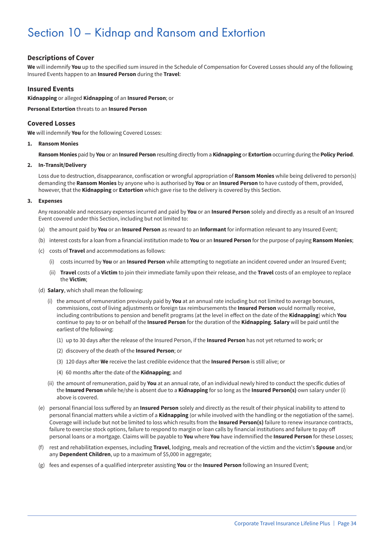## Section 10 – Kidnap and Ransom and Extortion

#### **Descriptions of Cover**

**We** will indemnify **You** up to the specified sum insured in the Schedule of Compensation for Covered Losses should any of the following Insured Events happen to an **Insured Person** during the **Travel**:

#### **Insured Events**

**Kidnapping** or alleged **Kidnapping** of an **Insured Person**; or

**Personal Extortion** threats to an **Insured Person**

#### **Covered Losses**

**We** will indemnify **You** for the following Covered Losses:

#### **1. Ransom Monies**

**Ransom Monies** paid by **You** or an **Insured Person** resulting directly from a **Kidnapping** or **Extortion** occurring during the **Policy Period**.

#### **2. In-Transit/Delivery**

Loss due to destruction, disappearance, confiscation or wrongful appropriation of **Ransom Monies** while being delivered to person(s) demanding the **Ransom Monies** by anyone who is authorised by **You** or an **Insured Person** to have custody of them, provided, however, that the **Kidnapping** or **Extortion** which gave rise to the delivery is covered by this Section.

#### **3. Expenses**

Any reasonable and necessary expenses incurred and paid by **You** or an **Insured Person** solely and directly as a result of an Insured Event covered under this Section, including but not limited to:

- (a) the amount paid by **You** or an **Insured Person** as reward to an **Informant** for information relevant to any Insured Event;
- (b) interest costs for a loan from a financial institution made to **You** or an **Insured Person** for the purpose of paying **Ransom Monies**;
- (c) costs of **Travel** and accommodations as follows:
	- (i) costs incurred by **You** or an **Insured Person** while attempting to negotiate an incident covered under an Insured Event;
	- (ii) **Travel** costs of a **Victim** to join their immediate family upon their release, and the **Travel** costs of an employee to replace the **Victim**;
- (d) **Salary**, which shall mean the following:
	- (i) the amount of remuneration previously paid by **You** at an annual rate including but not limited to average bonuses, commissions, cost of living adjustments or foreign tax reimbursements the **Insured Person** would normally receive, including contributions to pension and benefit programs (at the level in effect on the date of the **Kidnapping**) which **You** continue to pay to or on behalf of the **Insured Person** for the duration of the **Kidnapping**. **Salary** will be paid until the earliest of the following:
		- (1) up to 30 days after the release of the Insured Person, if the **Insured Person** has not yet returned to work; or
		- (2) discovery of the death of the **Insured Person**; or
		- (3) 120 days after **We** receive the last credible evidence that the **Insured Person** is still alive; or
		- (4) 60 months after the date of the **Kidnapping**; and
	- (ii) the amount of remuneration, paid by **You** at an annual rate, of an individual newly hired to conduct the specific duties of the **Insured Person** while he/she is absent due to a **Kidnapping** for so long as the **Insured Person(s)** own salary under (i) above is covered.
- (e) personal financial loss suffered by an **Insured Person** solely and directly as the result of their physical inability to attend to personal financial matters while a victim of a **Kidnapping** (or while involved with the handling or the negotiation of the same). Coverage will include but not be limited to loss which results from the **Insured Person(s)** failure to renew insurance contracts, failure to exercise stock options, failure to respond to margin or loan calls by financial institutions and failure to pay off personal loans or a mortgage. Claims will be payable to **You** where **You** have indemnified the **Insured Person** for these Losses;
- (f) rest and rehabilitation expenses, including **Travel**, lodging, meals and recreation of the victim and the victim's **Spouse** and/or any **Dependent Children**, up to a maximum of \$5,000 in aggregate;
- (g) fees and expenses of a qualified interpreter assisting **You** or the **Insured Person** following an Insured Event;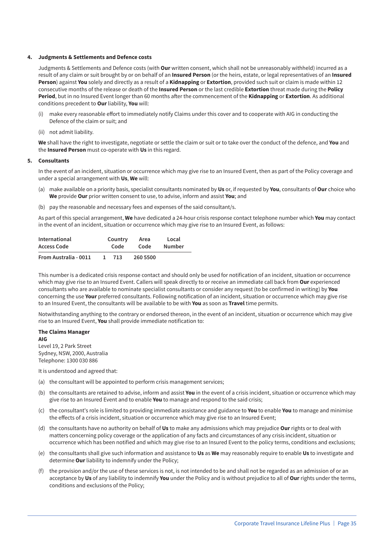#### **4. Judgments & Settlements and Defence costs**

Judgments & Settlements and Defence costs (with **Our** written consent, which shall not be unreasonably withheld) incurred as a result of any claim or suit brought by or on behalf of an **Insured Person** (or the heirs, estate, or legal representatives of an **Insured Person**) against **You** solely and directly as a result of a **Kidnapping** or **Extortion**, provided such suit or claim is made within 12 consecutive months of the release or death of the **Insured Person** or the last credible **Extortion** threat made during the **Policy Period**, but in no Insured Event longer than 60 months after the commencement of the **Kidnapping** or **Extortion**. As additional conditions precedent to **Our** liability, **You** will:

- (i) make every reasonable effort to immediately notify Claims under this cover and to cooperate with AIG in conducting the Defence of the claim or suit; and
- (ii) not admit liability.

**We** shall have the right to investigate, negotiate or settle the claim or suit or to take over the conduct of the defence, and **You** and the **Insured Person** must co-operate with **Us** in this regard.

#### **5. Consultants**

In the event of an incident, situation or occurrence which may give rise to an Insured Event, then as part of the Policy coverage and under a special arrangement with **Us**, **We** will:

- (a) make available on a priority basis, specialist consultants nominated by **Us** or, if requested by **You**, consultants of **Our** choice who **We** provide **Our** prior written consent to use, to advise, inform and assist **You**; and
- (b) pay the reasonable and necessary fees and expenses of the said consultant/s.

As part of this special arrangement, **We** have dedicated a 24-hour crisis response contact telephone number which **You** may contact in the event of an incident, situation or occurrence which may give rise to an Insured Event, as follows:

| International         |  | Country | Area     | Local         |
|-----------------------|--|---------|----------|---------------|
| Access Code           |  | Code    | Code     | <b>Number</b> |
| From Australia - 0011 |  | 713     | 260 5500 |               |

This number is a dedicated crisis response contact and should only be used for notification of an incident, situation or occurrence which may give rise to an Insured Event. Callers will speak directly to or receive an immediate call back from **Our** experienced consultants who are available to nominate specialist consultants or consider any request (to be confirmed in writing) by **You** concerning the use **Your** preferred consultants. Following notification of an incident, situation or occurrence which may give rise to an Insured Event, the consultants will be available to be with **You** as soon as **Travel** time permits.

Notwithstanding anything to the contrary or endorsed thereon, in the event of an incident, situation or occurrence which may give rise to an Insured Event, **You** shall provide immediate notification to:

#### **The Claims Manager AIG**

Level 19, 2 Park Street Sydney, NSW, 2000, Australia Telephone: 1300 030 886

It is understood and agreed that:

- (a) the consultant will be appointed to perform crisis management services;
- (b) the consultants are retained to advise, inform and assist **You** in the event of a crisis incident, situation or occurrence which may give rise to an Insured Event and to enable **You** to manage and respond to the said crisis;
- (c) the consultant's role is limited to providing immediate assistance and guidance to **You** to enable **You** to manage and minimise the effects of a crisis incident, situation or occurrence which may give rise to an Insured Event;
- (d) the consultants have no authority on behalf of **Us** to make any admissions which may prejudice **Our** rights or to deal with matters concerning policy coverage or the application of any facts and circumstances of any crisis incident, situation or occurrence which has been notified and which may give rise to an Insured Event to the policy terms, conditions and exclusions;
- (e) the consultants shall give such information and assistance to **Us** as **We** may reasonably require to enable **Us** to investigate and determine **Our** liability to indemnify under the Policy;
- (f) the provision and/or the use of these services is not, is not intended to be and shall not be regarded as an admission of or an acceptance by **Us** of any liability to indemnify **You** under the Policy and is without prejudice to all of **Our** rights under the terms, conditions and exclusions of the Policy;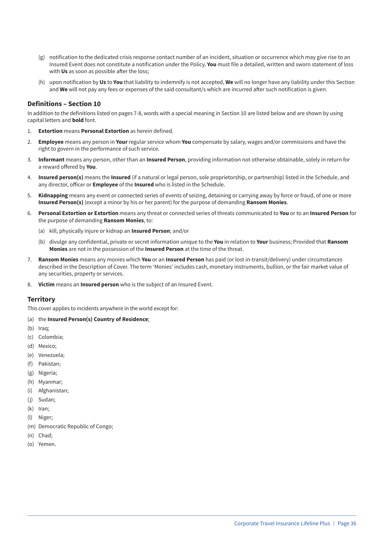- (g) notification to the dedicated crisis response contact number of an incident, situation or occurrence which may give rise to an Insured Event does not constitute a notification under the Policy. **You** must file a detailed, written and sworn statement of loss with **Us** as soon as possible after the loss;
- (h) upon notification by **Us** to **You** that liability to indemnify is not accepted, **We** will no longer have any liability under this Section and **We** will not pay any fees or expenses of the said consultant/s which are incurred after such notification is given.

#### **Definitions – Section 10**

In addition to the definitions listed on pages 7-8, words with a special meaning in Section 10 are listed below and are shown by using capital letters and **bold** font.

- 1. **Extortion** means **Personal Extortion** as herein defined.
- 2. **Employee** means any person in **Your** regular service whom **You** compensate by salary, wages and/or commissions and have the right to govern in the performance of such service.
- 3. **Informant** means any person, other than an **Insured Person**, providing information not otherwise obtainable, solely in return for a reward offered by **You**.
- 4. **Insured person(s)** means the **Insured** (if a natural or legal person, sole proprietorship, or partnership) listed in the Schedule, and any director, officer or **Employee** of the **Insured** who is listed in the Schedule.
- 5. **Kidnapping** means any event or connected series of events of seizing, detaining or carrying away by force or fraud, of one or more **Insured Person(s)** (except a minor by his or her parent) for the purpose of demanding **Ransom Monies**.
- 6. **Personal Extortion or Extortion** means any threat or connected series of threats communicated to **You** or to an **Insured Person** for the purpose of demanding **Ransom Monies**, to:
	- (a) kill, physically injure or kidnap an **Insured Person**; and/or
	- (b) divulge any confidential, private or secret information unique to the **You** in relation to **Your** business; Provided that **Ransom Monies** are not in the possession of the **Insured Person** at the time of the threat.
- 7. **Ransom Monies** means any monies which **You** or an **Insured Person** has paid (or lost in-transit/delivery) under circumstances described in the Description of Cover. The term 'Monies' includes cash, monetary instruments, bullion, or the fair market value of any securities, property or services.
- 8. **Victim** means an **Insured person** who is the subject of an Insured Event.

#### **Territory**

This cover applies to incidents anywhere in the world except for:

- (a) the **Insured Person(s) Country of Residence**;
- (b) Iraq;
- (c) Colombia;
- (d) Mexico;
- (e) Venezuela;
- (f) Pakistan;
- (g) Nigeria;
- (h) Myanmar;
- (i) Afghanistan;
- (j) Sudan;
- (k) Iran;
- (l) Niger;
- (m) Democratic Republic of Congo;
- (n) Chad;
- (o) Yemen.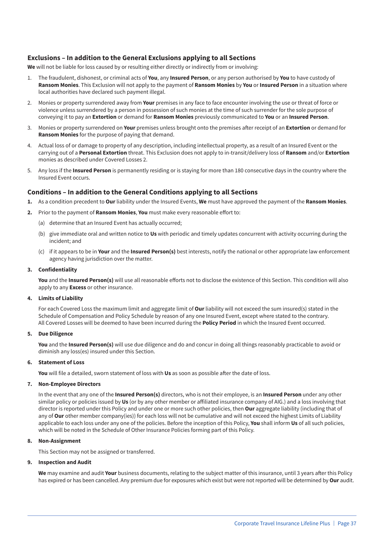#### **Exclusions – In addition to the General Exclusions applying to all Sections**

We will not be liable for loss caused by or resulting either directly or indirectly from or involving:

- 1. The fraudulent, dishonest, or criminal acts of **You**, any **Insured Person**, or any person authorised by **You** to have custody of **Ransom Monies**. This Exclusion will not apply to the payment of **Ransom Monies** by **You** or **Insured Person** in a situation where local authorities have declared such payment illegal.
- 2. Monies or property surrendered away from **Your** premises in any face to face encounter involving the use or threat of force or violence unless surrendered by a person in possession of such monies at the time of such surrender for the sole purpose of conveying it to pay an **Extortion** or demand for **Ransom Monies** previously communicated to **You** or an **Insured Person**.
- 3. Monies or property surrendered on **Your** premises unless brought onto the premises after receipt of an **Extortion** or demand for **Ransom Monies** for the purpose of paying that demand.
- 4. Actual loss of or damage to property of any description, including intellectual property, as a result of an Insured Event or the carrying out of a **Personal Extortion** threat. This Exclusion does not apply to in-transit/delivery loss of **Ransom** and/or **Extortion** monies as described under Covered Losses 2.
- 5. Any loss if the **Insured Person** is permanently residing or is staying for more than 180 consecutive days in the country where the Insured Event occurs.

#### **Conditions – In addition to the General Conditions applying to all Sections**

- **1.** As a condition precedent to **Our** liability under the Insured Events, **We** must have approved the payment of the **Ransom Monies**.
- **2.** Prior to the payment of **Ransom Monies**, **You** must make every reasonable effort to:
	- (a) determine that an Insured Event has actually occurred;
	- (b) give immediate oral and written notice to **Us** with periodic and timely updates concurrent with activity occurring during the incident; and
	- (c) if it appears to be in **Your** and the **Insured Person(s)** best interests, notify the national or other appropriate law enforcement agency having jurisdiction over the matter.

#### **3. Confidentiality**

**You** and the **Insured Person(s)** will use all reasonable efforts not to disclose the existence of this Section. This condition will also apply to any **Excess** or other insurance.

#### **4. Limits of Liability**

For each Covered Loss the maximum limit and aggregate limit of **Our** liability will not exceed the sum insured(s) stated in the Schedule of Compensation and Policy Schedule by reason of any one Insured Event, except where stated to the contrary. All Covered Losses will be deemed to have been incurred during the **Policy Period** in which the Insured Event occurred.

#### **5. Due Diligence**

**You** and the **Insured Person(s)** will use due diligence and do and concur in doing all things reasonably practicable to avoid or diminish any loss(es) insured under this Section.

#### **6. Statement of Loss**

**You** will file a detailed, sworn statement of loss with **Us** as soon as possible after the date of loss.

#### **7. Non-Employee Directors**

In the event that any one of the **Insured Person(s)** directors, who is not their employee, is an **Insured Person** under any other similar policy or policies issued by **Us** (or by any other member or affiliated insurance company of AIG.) and a loss involving that director is reported under this Policy and under one or more such other policies, then **Our** aggregate liability (including that of any of **Our** other member company(ies)) for each loss will not be cumulative and will not exceed the highest Limits of Liability applicable to each loss under any one of the policies. Before the inception of this Policy, **You** shall inform **Us** of all such policies, which will be noted in the Schedule of Other Insurance Policies forming part of this Policy.

#### **8. Non-Assignment**

This Section may not be assigned or transferred.

#### **9. Inspection and Audit**

**We** may examine and audit **Your** business documents, relating to the subject matter of this insurance, until 3 years after this Policy has expired or has been cancelled. Any premium due for exposures which exist but were not reported will be determined by **Our** audit.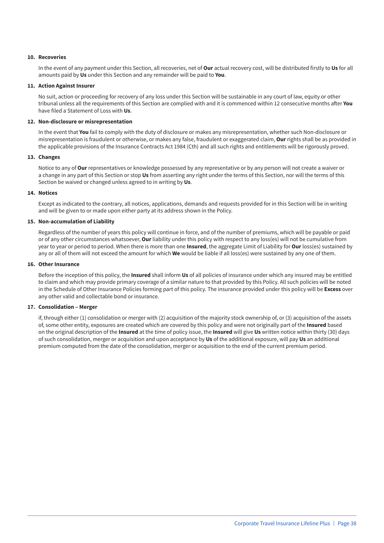#### **10. Recoveries**

In the event of any payment under this Section, all recoveries, net of **Our** actual recovery cost, will be distributed firstly to **Us** for all amounts paid by **Us** under this Section and any remainder will be paid to **You**.

#### **11. Action Against Insurer**

No suit, action or proceeding for recovery of any loss under this Section will be sustainable in any court of law, equity or other tribunal unless all the requirements of this Section are complied with and it is commenced within 12 consecutive months after **You** have filed a Statement of Loss with **Us**.

#### **12. Non-disclosure or misrepresentation**

In the event that **You** fail to comply with the duty of disclosure or makes any misrepresentation, whether such Non-disclosure or misrepresentation is fraudulent or otherwise, or makes any false, fraudulent or exaggerated claim, **Our** rights shall be as provided in the applicable provisions of the Insurance Contracts Act 1984 (Cth) and all such rights and entitlements will be rigorously proved.

#### **13. Changes**

Notice to any of **Our** representatives or knowledge possessed by any representative or by any person will not create a waiver or a change in any part of this Section or stop **Us** from asserting any right under the terms of this Section, nor will the terms of this Section be waived or changed unless agreed to in writing by **Us**.

#### **14. Notices**

Except as indicated to the contrary, all notices, applications, demands and requests provided for in this Section will be in writing and will be given to or made upon either party at its address shown in the Policy.

#### **15. Non-accumulation of Liability**

Regardless of the number of years this policy will continue in force, and of the number of premiums, which will be payable or paid or of any other circumstances whatsoever, **Our** liability under this policy with respect to any loss(es) will not be cumulative from year to year or period to period. When there is more than one **Insured**, the aggregate Limit of Liability for **Our** loss(es) sustained by any or all of them will not exceed the amount for which **We** would be liable if all loss(es) were sustained by any one of them.

#### **16. Other Insurance**

Before the inception of this policy, the **Insured** shall inform **Us** of all policies of insurance under which any insured may be entitled to claim and which may provide primary coverage of a similar nature to that provided by this Policy. All such policies will be noted in the Schedule of Other Insurance Policies forming part of this policy. The insurance provided under this policy will be **Excess** over any other valid and collectable bond or insurance.

#### **17. Consolidation – Merger**

if, through either (1) consolidation or merger with (2) acquisition of the majority stock ownership of, or (3) acquisition of the assets of, some other entity, exposures are created which are covered by this policy and were not originally part of the **Insured** based on the original description of the **Insured** at the time of policy issue, the **Insured** will give **Us** written notice within thirty (30) days of such consolidation, merger or acquisition and upon acceptance by **Us** of the additional exposure, will pay **Us** an additional premium computed from the date of the consolidation, merger or acquisition to the end of the current premium period.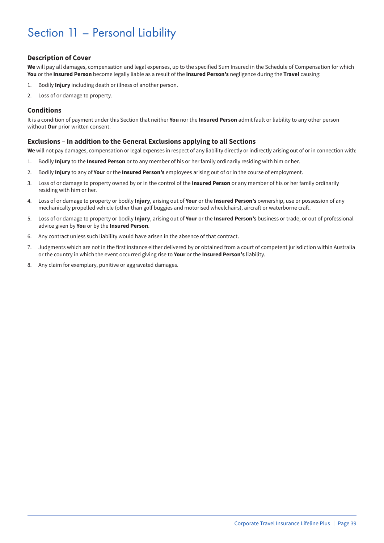## Section 11 – Personal Liability

#### **Description of Cover**

**We** will pay all damages, compensation and legal expenses, up to the specified Sum Insured in the Schedule of Compensation for which **You** or the **Insured Person** become legally liable as a result of the **Insured Person's** negligence during the **Travel** causing:

- 1. Bodily **Injury** including death or illness of another person.
- 2. Loss of or damage to property.

#### **Conditions**

It is a condition of payment under this Section that neither **You** nor the **Insured Person** admit fault or liability to any other person without **Our** prior written consent.

#### **Exclusions – In addition to the General Exclusions applying to all Sections**

**We** will not pay damages, compensation or legal expenses in respect of any liability directly or indirectly arising out of or in connection with:

- 1. Bodily **Injury** to the **Insured Person** or to any member of his or her family ordinarily residing with him or her.
- 2. Bodily **Injury** to any of **Your** or the **Insured Person's** employees arising out of or in the course of employment.
- 3. Loss of or damage to property owned by or in the control of the **Insured Person** or any member of his or her family ordinarily residing with him or her.
- 4. Loss of or damage to property or bodily **Injury**, arising out of **Your** or the **Insured Person's** ownership, use or possession of any mechanically propelled vehicle (other than golf buggies and motorised wheelchairs), aircraft or waterborne craft.
- 5. Loss of or damage to property or bodily **Injury**, arising out of **Your** or the **Insured Person's** business or trade, or out of professional advice given by **You** or by the **Insured Person**.
- 6. Any contract unless such liability would have arisen in the absence of that contract.
- 7. Judgments which are not in the first instance either delivered by or obtained from a court of competent jurisdiction within Australia or the country in which the event occurred giving rise to **Your** or the **Insured Person's** liability.
- 8. Any claim for exemplary, punitive or aggravated damages.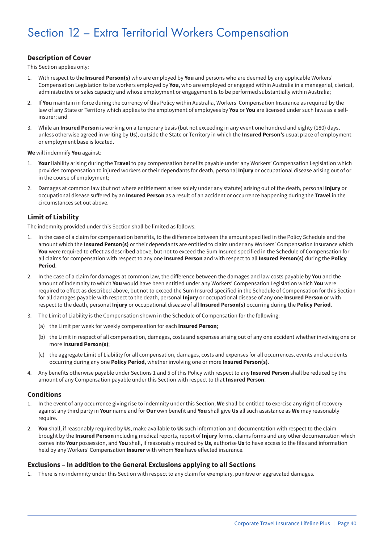## Section 12 – Extra Territorial Workers Compensation

#### **Description of Cover**

This Section applies only:

- 1. With respect to the **Insured Person(s)** who are employed by **You** and persons who are deemed by any applicable Workers' Compensation Legislation to be workers employed by **You**, who are employed or engaged within Australia in a managerial, clerical, administrative or sales capacity and whose employment or engagement is to be performed substantially within Australia;
- 2. If **You** maintain in force during the currency of this Policy within Australia, Workers' Compensation Insurance as required by the law of any State or Territory which applies to the employment of employees by **You** or **You** are licensed under such laws as a selfinsurer; and
- 3. While an **Insured Person** is working on a temporary basis (but not exceeding in any event one hundred and eighty (180) days, unless otherwise agreed in writing by **Us**), outside the State or Territory in which the **Insured Person's** usual place of employment or employment base is located.

**We** will indemnify **You** against:

- 1. **Your** liability arising during the **Travel** to pay compensation benefits payable under any Workers' Compensation Legislation which provides compensation to injured workers or their dependants for death, personal **Injury** or occupational disease arising out of or in the course of employment;
- 2. Damages at common law (but not where entitlement arises solely under any statute) arising out of the death, personal **Injury** or occupational disease suffered by an **Insured Person** as a result of an accident or occurrence happening during the **Travel** in the circumstances set out above.

#### **Limit of Liability**

The indemnity provided under this Section shall be limited as follows:

- 1. In the case of a claim for compensation benefits, to the difference between the amount specified in the Policy Schedule and the amount which the **Insured Person(s)** or their dependants are entitled to claim under any Workers' Compensation Insurance which **You** were required to effect as described above, but not to exceed the Sum Insured specified in the Schedule of Compensation for all claims for compensation with respect to any one **Insured Person** and with respect to all **Insured Person(s)** during the **Policy Period**.
- 2. In the case of a claim for damages at common law, the difference between the damages and law costs payable by **You** and the amount of indemnity to which **You** would have been entitled under any Workers' Compensation Legislation which **You** were required to effect as described above, but not to exceed the Sum Insured specified in the Schedule of Compensation for this Section for all damages payable with respect to the death, personal **Injury** or occupational disease of any one **Insured Person** or with respect to the death, personal **Injury** or occupational disease of all **Insured Person(s)** occurring during the **Policy Period**.
- 3. The Limit of Liability is the Compensation shown in the Schedule of Compensation for the following:
	- (a) the Limit per week for weekly compensation for each **Insured Person**;
	- (b) the Limit in respect of all compensation, damages, costs and expenses arising out of any one accident whether involving one or more **Insured Person(s)**;
	- (c) the aggregate Limit of Liability for all compensation, damages, costs and expenses for all occurrences, events and accidents occurring during any one **Policy Period**, whether involving one or more **Insured Person(s)**.
- 4. Any benefits otherwise payable under Sections 1 and 5 of this Policy with respect to any **Insured Person** shall be reduced by the amount of any Compensation payable under this Section with respect to that **Insured Person**.

#### **Conditions**

- 1. In the event of any occurrence giving rise to indemnity under this Section, **We** shall be entitled to exercise any right of recovery against any third party in **Your** name and for **Our** own benefit and **You** shall give **Us** all such assistance as **We** may reasonably require.
- 2. **You** shall, if reasonably required by **Us**, make available to **Us** such information and documentation with respect to the claim brought by the **Insured Person** including medical reports, report of **Injury** forms, claims forms and any other documentation which comes into **Your** possession, and **You** shall, if reasonably required by **Us**, authorise **Us** to have access to the files and information held by any Workers' Compensation **Insurer** with whom **You** have effected insurance.

#### **Exclusions – In addition to the General Exclusions applying to all Sections**

1. There is no indemnity under this Section with respect to any claim for exemplary, punitive or aggravated damages.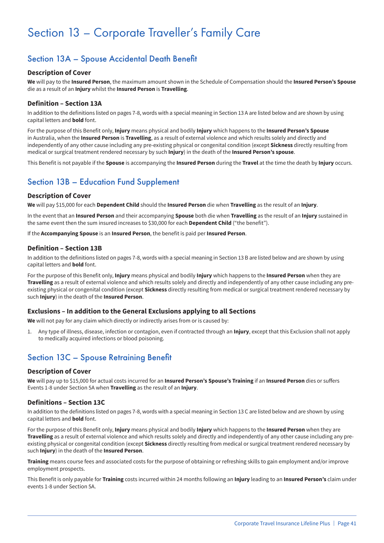## Section 13 – Corporate Traveller's Family Care

## Section 13A – Spouse Accidental Death Benefit

#### **Description of Cover**

**We** will pay to the **Insured Person**, the maximum amount shown in the Schedule of Compensation should the **Insured Person's Spouse** die as a result of an **Injury** whilst the **Insured Person** is **Travelling**.

#### **Definition – Section 13A**

In addition to the definitions listed on pages 7-8, words with a special meaning in Section 13 A are listed below and are shown by using capital letters and **bold** font.

For the purpose of this Benefit only, **Injury** means physical and bodily **Injury** which happens to the **Insured Person's Spouse** in Australia, when the **Insured Person** is **Travelling**, as a result of external violence and which results solely and directly and independently of any other cause including any pre-existing physical or congenital condition (except **Sickness** directly resulting from medical or surgical treatment rendered necessary by such **Injury**) in the death of the **Insured Person's spouse**.

This Benefit is not payable if the **Spouse** is accompanying the **Insured Person** during the **Travel** at the time the death by **Injury** occurs.

## Section 13B – Education Fund Supplement

#### **Description of Cover**

**We** will pay \$15,000 for each **Dependent Child** should the **Insured Person** die when **Travelling** as the result of an **Injury**.

In the event that an **Insured Person** and their accompanying **Spouse** both die when **Travelling** as the result of an **Injury** sustained in the same event then the sum insured increases to \$30,000 for each **Dependent Child** ("the benefit").

If the **Accompanying Spouse** is an **Insured Person**, the benefit is paid per **Insured Person**.

#### **Definition – Section 13B**

In addition to the definitions listed on pages 7-8, words with a special meaning in Section 13 B are listed below and are shown by using capital letters and **bold** font.

For the purpose of this Benefit only, **Injury** means physical and bodily **Injury** which happens to the **Insured Person** when they are **Travelling** as a result of external violence and which results solely and directly and independently of any other cause including any preexisting physical or congenital condition (except **Sickness** directly resulting from medical or surgical treatment rendered necessary by such **Injury**) in the death of the **Insured Person**.

#### **Exclusions – In addition to the General Exclusions applying to all Sections**

**We** will not pay for any claim which directly or indirectly arises from or is caused by:

1. Any type of illness, disease, infection or contagion, even if contracted through an **Injury**, except that this Exclusion shall not apply to medically acquired infections or blood poisoning.

## Section 13C – Spouse Retraining Benefit

#### **Description of Cover**

**We** will pay up to \$15,000 for actual costs incurred for an **Insured Person's Spouse's Training** if an **Insured Person** dies or suffers Events 1-8 under Section 5A when **Travelling** as the result of an **Injury**.

#### **Definitions – Section 13C**

In addition to the definitions listed on pages 7-8, words with a special meaning in Section 13 C are listed below and are shown by using capital letters and **bold** font.

For the purpose of this Benefit only, **Injury** means physical and bodily **Injury** which happens to the **Insured Person** when they are **Travelling** as a result of external violence and which results solely and directly and independently of any other cause including any preexisting physical or congenital condition (except **Sickness** directly resulting from medical or surgical treatment rendered necessary by such **Injury**) in the death of the **Insured Person**.

**Training** means course fees and associated costs for the purpose of obtaining or refreshing skills to gain employment and/or improve employment prospects.

This Benefit is only payable for **Training** costs incurred within 24 months following an **Injury** leading to an **Insured Person's** claim under events 1-8 under Section 5A.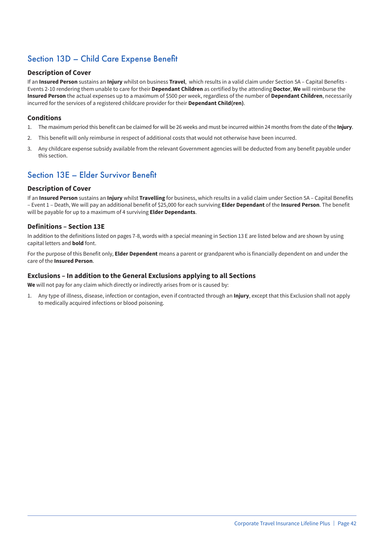## Section 13D – Child Care Expense Benefit

#### **Description of Cover**

If an **Insured Person** sustains an **Injury** whilst on business **Travel**, which results in a valid claim under Section 5A – Capital Benefits - Events 2-10 rendering them unable to care for their **Dependant Children** as certified by the attending **Doctor**, **We** will reimburse the **Insured Person** the actual expenses up to a maximum of \$500 per week, regardless of the number of **Dependant Children**, necessarily incurred for the services of a registered childcare provider for their **Dependant Child(ren)**.

#### **Conditions**

- 1. The maximum period this benefit can be claimed for will be 26 weeks and must be incurred within 24 months from the date of the **Injury**.
- 2. This benefit will only reimburse in respect of additional costs that would not otherwise have been incurred.
- 3. Any childcare expense subsidy available from the relevant Government agencies will be deducted from any benefit payable under this section.

## Section 13E – Elder Survivor Benefit

#### **Description of Cover**

If an **Insured Person** sustains an **Injury** whilst **Travelling** for business, which results in a valid claim under Section 5A – Capital Benefits – Event 1 – Death, We will pay an additional benefit of \$25,000 for each surviving **Elder Dependant** of the **Insured Person**. The benefit will be payable for up to a maximum of 4 surviving **Elder Dependants**.

#### **Definitions – Section 13E**

In addition to the definitions listed on pages 7-8, words with a special meaning in Section 13 E are listed below and are shown by using capital letters and **bold** font.

For the purpose of this Benefit only, **Elder Dependent** means a parent or grandparent who is financially dependent on and under the care of the **Insured Person**.

#### **Exclusions – In addition to the General Exclusions applying to all Sections**

**We** will not pay for any claim which directly or indirectly arises from or is caused by:

1. Any type of illness, disease, infection or contagion, even if contracted through an **Injury**, except that this Exclusion shall not apply to medically acquired infections or blood poisoning.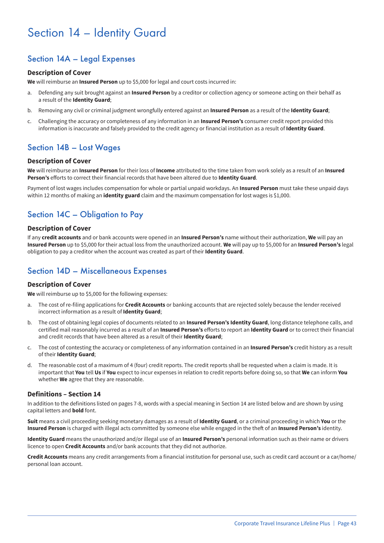## Section 14 – Identity Guard

## Section 14A – Legal Expenses

#### **Description of Cover**

**We** will reimburse an **Insured Person** up to \$5,000 for legal and court costs incurred in:

- a. Defending any suit brought against an **Insured Person** by a creditor or collection agency or someone acting on their behalf as a result of the **Identity Guard**;
- b. Removing any civil or criminal judgment wrongfully entered against an **Insured Person** as a result of the **Identity Guard**;
- c. Challenging the accuracy or completeness of any information in an **Insured Person's** consumer credit report provided this information is inaccurate and falsely provided to the credit agency or financial institution as a result of **Identity Guard**.

### Section 14B – Lost Wages

#### **Description of Cover**

**We** will reimburse an **Insured Person** for their loss of **Income** attributed to the time taken from work solely as a result of an **Insured Person's** efforts to correct their financial records that have been altered due to **Identity Guard**.

Payment of lost wages includes compensation for whole or partial unpaid workdays. An **Insured Person** must take these unpaid days within 12 months of making an **identity guard** claim and the maximum compensation for lost wages is \$1,000.

## Section 14C – Obligation to Pay

#### **Description of Cover**

If any **credit accounts** and or bank accounts were opened in an **Insured Person's** name without their authorization, **We** will pay an **Insured Person** up to \$5,000 for their actual loss from the unauthorized account. **We** will pay up to \$5,000 for an **Insured Person's** legal obligation to pay a creditor when the account was created as part of their **Identity Guard**.

### Section 14D – Miscellaneous Expenses

#### **Description of Cover**

**We** will reimburse up to \$5,000 for the following expenses:

- a. The cost of re-filing applications for **Credit Accounts** or banking accounts that are rejected solely because the lender received incorrect information as a result of **Identity Guard**;
- b. The cost of obtaining legal copies of documents related to an **Insured Person's Identity Guard**, long distance telephone calls, and certified mail reasonably incurred as a result of an **Insured Person's** efforts to report an **Identity Guard** or to correct their financial and credit records that have been altered as a result of their **Identity Guard**;
- c. The cost of contesting the accuracy or completeness of any information contained in an **Insured Person's** credit history as a result of their **Identity Guard**;
- d. The reasonable cost of a maximum of 4 (four) credit reports. The credit reports shall be requested when a claim is made. It is important that **You** tell **Us** if **You** expect to incur expenses in relation to credit reports before doing so, so that **We** can inform **You** whether **We** agree that they are reasonable.

#### **Definitions – Section 14**

In addition to the definitions listed on pages 7-8, words with a special meaning in Section 14 are listed below and are shown by using capital letters and **bold** font.

**Suit** means a civil proceeding seeking monetary damages as a result of **Identity Guard**, or a criminal proceeding in which **You** or the **Insured Person** is charged with illegal acts committed by someone else while engaged in the theft of an **Insured Person's** identity.

**Identity Guard** means the unauthorized and/or illegal use of an **Insured Person's** personal information such as their name or drivers licence to open **Credit Accounts** and/or bank accounts that they did not authorize.

**Credit Accounts** means any credit arrangements from a financial institution for personal use, such as credit card account or a car/home/ personal loan account.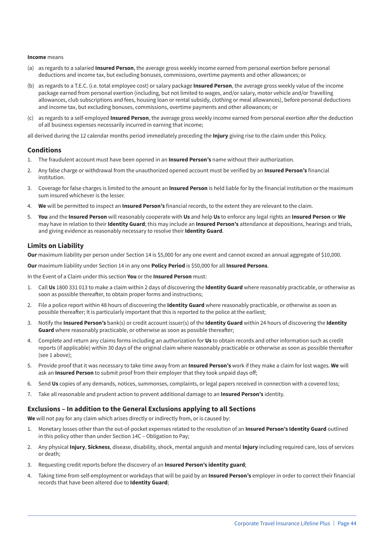#### **Income** means

- (a) as regards to a salaried **Insured Person**, the average gross weekly income earned from personal exertion before personal deductions and income tax, but excluding bonuses, commissions, overtime payments and other allowances; or
- (b) as regards to a T.E.C. (i.e. total employee cost) or salary package **Insured Person**, the average gross weekly value of the income package earned from personal exertion (including, but not limited to wages, and/or salary, motor vehicle and/or Travelling allowances, club subscriptions and fees, housing loan or rental subsidy, clothing or meal allowances), before personal deductions and income tax, but excluding bonuses, commissions, overtime payments and other allowances; or
- (c) as regards to a self-employed **Insured Person**, the average gross weekly income earned from personal exertion after the deduction of all business expenses necessarily incurred in earning that income;

all derived during the 12 calendar months period immediately preceding the **Injury** giving rise to the claim under this Policy.

#### **Conditions**

- 1. The fraudulent account must have been opened in an **Insured Person's** name without their authorization.
- 2. Any false charge or withdrawal from the unauthorized opened account must be verified by an **Insured Person's** financial institution.
- 3. Coverage for false charges is limited to the amount an **Insured Person** is held liable for by the financial institution or the maximum sum insured whichever is the lesser.
- 4. **We** will be permitted to inspect an **Insured Person's** financial records, to the extent they are relevant to the claim.
- 5. **You** and the **Insured Person** will reasonably cooperate with **Us** and help **Us** to enforce any legal rights an **Insured Person** or **We** may have in relation to their **Identity Guard**; this may include an **Insured Person's** attendance at depositions, hearings and trials, and giving evidence as reasonably necessary to resolve their **Identity Guard**.

#### **Limits on Liability**

**Our** maximum liability per person under Section 14 is \$5,000 for any one event and cannot exceed an annual aggregate of \$10,000.

**Our** maximum liability under Section 14 in any one **Policy Period** is \$50,000 for all **Insured Persons**.

In the Event of a Claim under this section **You** or the **Insured Person** must:

- 1. Call **Us** 1800 331 013 to make a claim within 2 days of discovering the **Identity Guard** where reasonably practicable, or otherwise as soon as possible thereafter, to obtain proper forms and instructions;
- 2. File a police report within 48 hours of discovering the **Identity Guard** where reasonably practicable, or otherwise as soon as possible thereafter; It is particularly important that this is reported to the police at the earliest;
- 3. Notify the **Insured Person's** bank(s) or credit account issuer(s) of the **Identity Guard** within 24 hours of discovering the **Identity Guard** where reasonably practicable, or otherwise as soon as possible thereafter;
- 4. Complete and return any claims forms including an authorization for **Us** to obtain records and other information such as credit reports (if applicable) within 30 days of the original claim where reasonably practicable or otherwise as soon as possible thereafter (see 1 above);
- 5. Provide proof that it was necessary to take time away from an **Insured Person's** work if they make a claim for lost wages. **We** will ask an **Insured Person** to submit proof from their employer that they took unpaid days off;
- 6. Send **Us** copies of any demands, notices, summonses, complaints, or legal papers received in connection with a covered loss;
- 7. Take all reasonable and prudent action to prevent additional damage to an **Insured Person's** identity.

#### **Exclusions – In addition to the General Exclusions applying to all Sections**

**We** will not pay for any claim which arises directly or indirectly from, or is caused by:

- 1. Monetary losses other than the out-of-pocket expenses related to the resolution of an **Insured Person's Identity Guard** outlined in this policy other than under Section 14C – Obligation to Pay;
- 2. Any physical **Injury**, **Sickness**, disease, disability, shock, mental anguish and mental **Injury** including required care, loss of services or death;
- 3. Requesting credit reports before the discovery of an **Insured Person's identity guard**;
- 4. Taking time from self-employment or workdays that will be paid by an **Insured Person's** employer in order to correct their financial records that have been altered due to **Identity Guard**;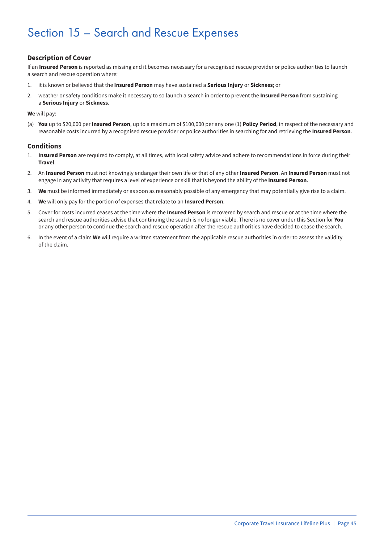## Section 15 – Search and Rescue Expenses

#### **Description of Cover**

If an **Insured Person** is reported as missing and it becomes necessary for a recognised rescue provider or police authorities to launch a search and rescue operation where:

- 1. it is known or believed that the **Insured Person** may have sustained a **Serious Injury** or **Sickness**; or
- 2. weather or safety conditions make it necessary to so launch a search in order to prevent the **Insured Person** from sustaining a **Serious Injury** or **Sickness**.

**We** will pay:

(a) **You** up to \$20,000 per **Insured Person**, up to a maximum of \$100,000 per any one (1) **Policy Period**, in respect of the necessary and reasonable costs incurred by a recognised rescue provider or police authorities in searching for and retrieving the **Insured Person**.

#### **Conditions**

- 1. **Insured Person** are required to comply, at all times, with local safety advice and adhere to recommendations in force during their **Travel**.
- 2. An **Insured Person** must not knowingly endanger their own life or that of any other **Insured Person**. An **Insured Person** must not engage in any activity that requires a level of experience or skill that is beyond the ability of the **Insured Person**.
- 3. **We** must be informed immediately or as soon as reasonably possible of any emergency that may potentially give rise to a claim.
- 4. **We** will only pay for the portion of expenses that relate to an **Insured Person**.
- 5. Cover for costs incurred ceases at the time where the **Insured Person** is recovered by search and rescue or at the time where the search and rescue authorities advise that continuing the search is no longer viable. There is no cover under this Section for **You** or any other person to continue the search and rescue operation after the rescue authorities have decided to cease the search.
- 6. In the event of a claim **We** will require a written statement from the applicable rescue authorities in order to assess the validity of the claim.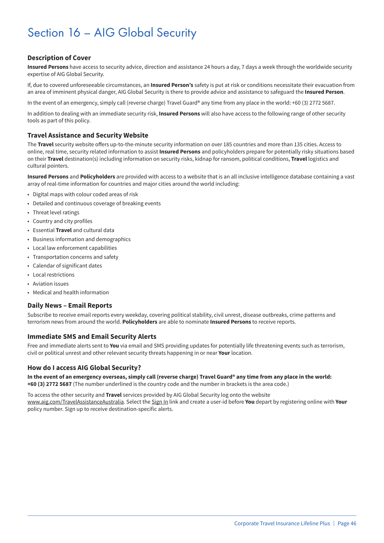## Section 16 – AIG Global Security

#### **Description of Cover**

**Insured Persons** have access to security advice, direction and assistance 24 hours a day, 7 days a week through the worldwide security expertise of AIG Global Security.

If, due to covered unforeseeable circumstances, an **Insured Person's** safety is put at risk or conditions necessitate their evacuation from an area of imminent physical danger, AIG Global Security is there to provide advice and assistance to safeguard the **Insured Person**.

In the event of an emergency, simply call (reverse charge) Travel Guard® any time from any place in the world: +60 (3) 2772 5687.

In addition to dealing with an immediate security risk, **Insured Persons** will also have access to the following range of other security tools as part of this policy.

#### **Travel Assistance and Security Website**

The **Travel** security website offers up-to-the-minute security information on over 185 countries and more than 135 cities. Access to online, real time, security related information to assist **Insured Persons** and policyholders prepare for potentially risky situations based on their **Travel** destination(s) including information on security risks, kidnap for ransom, political conditions, **Travel** logistics and cultural pointers.

**Insured Persons** and **Policyholders** are provided with access to a website that is an all inclusive intelligence database containing a vast array of real-time information for countries and major cities around the world including:

- Digital maps with colour coded areas of risk
- Detailed and continuous coverage of breaking events
- Threat level ratings
- Country and city profiles
- Essential **Travel** and cultural data
- Business information and demographics
- Local law enforcement capabilities
- Transportation concerns and safety
- Calendar of significant dates
- Local restrictions
- Aviation issues
- Medical and health information

#### **Daily News – Email Reports**

Subscribe to receive email reports every weekday, covering political stability, civil unrest, disease outbreaks, crime patterns and terrorism news from around the world. **Policyholders** are able to nominate **Insured Persons** to receive reports.

#### **Immediate SMS and Email Security Alerts**

Free and immediate alerts sent to **You** via email and SMS providing updates for potentially life threatening events such as terrorism, civil or political unrest and other relevant security threats happening in or near **Your** location.

#### **How do I access AIG Global Security?**

**In the event of an emergency overseas, simply call (reverse charge) Travel Guard® any time from any place in the world: +60 (3) 2772 5687** (The number underlined is the country code and the number in brackets is the area code.)

To access the other security and **Travel** services provided by AIG Global Security log onto the website www.aig.com/TravelAssistanceAustralia. Select the Sign In link and create a user-id before **You** depart by registering online with **Your** policy number. Sign up to receive destination-specific alerts.